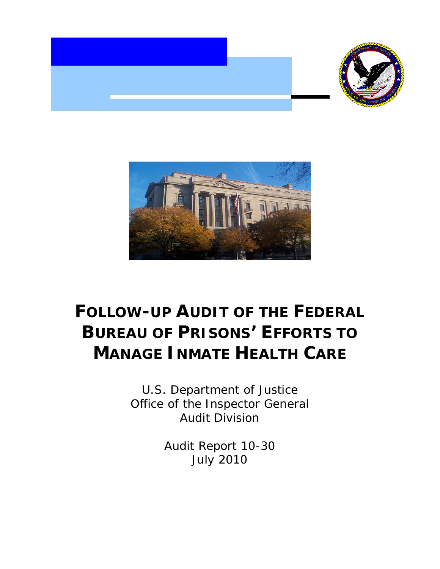



# **FOLLOW-UP AUDIT OF THE FEDERAL BUREAU OF PRISONS' EFFORTS TO MANAGE INMATE HEALTH CARE**

U.S. Department of Justice Office of the Inspector General Audit Division

> Audit Report 10-30 July 2010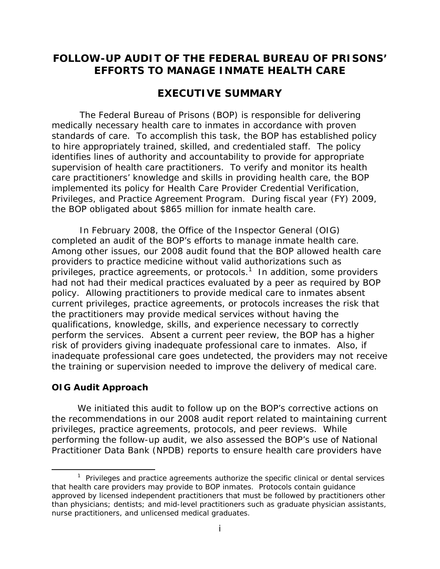# **FOLLOW-UP AUDIT OF THE FEDERAL BUREAU OF PRISONS' EFFORTS TO MANAGE INMATE HEALTH CARE**

# **EXECUTIVE SUMMARY**

The Federal Bureau of Prisons (BOP) is responsible for delivering medically necessary health care to inmates in accordance with proven standards of care. To accomplish this task, the BOP has established policy to hire appropriately trained, skilled, and credentialed staff. The policy identifies lines of authority and accountability to provide for appropriate supervision of health care practitioners. To verify and monitor its health care practitioners' knowledge and skills in providing health care, the BOP implemented its policy for Health Care Provider Credential Verification, Privileges, and Practice Agreement Program. During fiscal year (FY) 2009, the BOP obligated about \$865 million for inmate health care.

In February 2008, the Office of the Inspector General (OIG) completed an audit of the BOP's efforts to manage inmate health care. Among other issues, our 2008 audit found that the BOP allowed health care providers to practice medicine without valid authorizations such as privileges, practice agreements, or protocols.<sup>1</sup> In addition, some providers had not had their medical practices evaluated by a peer as required by BOP policy. Allowing practitioners to provide medical care to inmates absent current privileges, practice agreements, or protocols increases the risk that the practitioners may provide medical services without having the qualifications, knowledge, skills, and experience necessary to correctly perform the services. Absent a current peer review, the BOP has a higher risk of providers giving inadequate professional care to inmates. Also, if inadequate professional care goes undetected, the providers may not receive the training or supervision needed to improve the delivery of medical care.

# **OIG Audit Approach**

 $\overline{a}$ 

We initiated this audit to follow up on the BOP's corrective actions on the recommendations in our 2008 audit report related to maintaining current privileges, practice agreements, protocols, and peer reviews. While performing the follow-up audit, we also assessed the BOP's use of National Practitioner Data Bank (NPDB) reports to ensure health care providers have

<sup>&</sup>lt;sup>1</sup> Privileges and practice agreements authorize the specific clinical or dental services that health care providers may provide to BOP inmates. Protocols contain guidance approved by licensed independent practitioners that must be followed by practitioners other than physicians; dentists; and mid-level practitioners such as graduate physician assistants, nurse practitioners, and unlicensed medical graduates.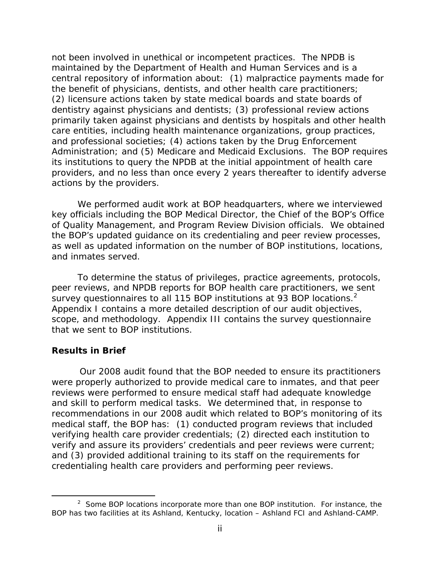not been involved in unethical or incompetent practices. The NPDB is maintained by the Department of Health and Human Services and is a central repository of information about: (1) malpractice payments made for the benefit of physicians, dentists, and other health care practitioners; (2) licensure actions taken by state medical boards and state boards of dentistry against physicians and dentists; (3) professional review actions primarily taken against physicians and dentists by hospitals and other health care entities, including health maintenance organizations, group practices, and professional societies; (4) actions taken by the Drug Enforcement Administration; and (5) Medicare and Medicaid Exclusions. The BOP requires its institutions to query the NPDB at the initial appointment of health care providers, and no less than once every 2 years thereafter to identify adverse actions by the providers.

We performed audit work at BOP headquarters, where we interviewed key officials including the BOP Medical Director, the Chief of the BOP's Office of Quality Management, and Program Review Division officials. We obtained the BOP's updated guidance on its credentialing and peer review processes, as well as updated information on the number of BOP institutions, locations, and inmates served.

survey questionnaires to all 115 BOP institutions at 93 BOP locations.<sup>2</sup> To determine the status of privileges, practice agreements, protocols, peer reviews, and NPDB reports for BOP health care practitioners, we sent Appendix I contains a more detailed description of our audit objectives, scope, and methodology. Appendix III contains the survey questionnaire that we sent to BOP institutions.

#### **Results in Brief**

 $\overline{a}$ 

Our 2008 audit found that the BOP needed to ensure its practitioners were properly authorized to provide medical care to inmates, and that peer reviews were performed to ensure medical staff had adequate knowledge and skill to perform medical tasks. We determined that, in response to recommendations in our 2008 audit which related to BOP's monitoring of its medical staff, the BOP has: (1) conducted program reviews that included verifying health care provider credentials; (2) directed each institution to verify and assure its providers' credentials and peer reviews were current; and (3) provided additional training to its staff on the requirements for credentialing health care providers and performing peer reviews.

BOP has two facilities at its Ashland, Kentucky, location – Ashland FCI and Ashland-CAMP.<br>ii  $2$  Some BOP locations incorporate more than one BOP institution. For instance, the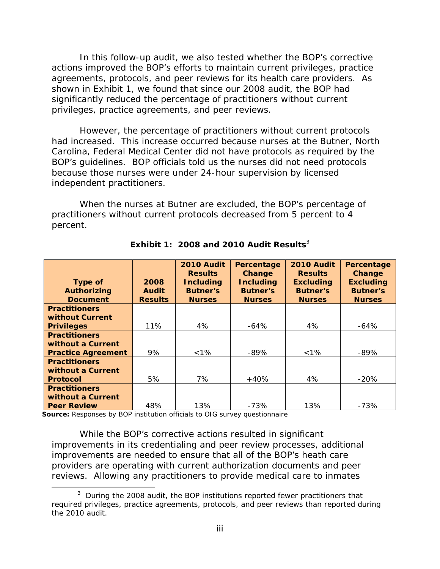In this follow-up audit, we also tested whether the BOP's corrective actions improved the BOP's efforts to maintain current privileges, practice agreements, protocols, and peer reviews for its health care providers. As shown in Exhibit 1, we found that since our 2008 audit, the BOP had significantly reduced the percentage of practitioners without current privileges, practice agreements, and peer reviews.

However, the percentage of practitioners without current protocols had increased. This increase occurred because nurses at the Butner, North Carolina, Federal Medical Center did not have protocols as required by the BOP's guidelines. BOP officials told us the nurses did not need protocols because those nurses were under 24-hour supervision by licensed independent practitioners.

When the nurses at Butner are excluded, the BOP's percentage of practitioners without current protocols decreased from 5 percent to 4 percent.

|                           |                | 2010 Audit<br><b>Results</b> | Percentage<br>Change | 2010 Audit<br><b>Results</b> | Percentage<br>Change |
|---------------------------|----------------|------------------------------|----------------------|------------------------------|----------------------|
| <b>Type of</b>            | 2008           | <b>Including</b>             | <b>Including</b>     | <b>Excluding</b>             | <b>Excluding</b>     |
| <b>Authorizing</b>        | <b>Audit</b>   | <b>Butner's</b>              | <b>Butner's</b>      | <b>Butner's</b>              | <b>Butner's</b>      |
| <b>Document</b>           | <b>Results</b> | <b>Nurses</b>                | <b>Nurses</b>        | <b>Nurses</b>                | <b>Nurses</b>        |
| <b>Practitioners</b>      |                |                              |                      |                              |                      |
| without Current           |                |                              |                      |                              |                      |
| <b>Privileges</b>         | 11%            | 4%                           | -64%                 | 4%                           | $-64%$               |
| <b>Practitioners</b>      |                |                              |                      |                              |                      |
| without a Current         |                |                              |                      |                              |                      |
| <b>Practice Agreement</b> | 9%             | $< 1\%$                      | -89%                 | $< 1\%$                      | $-89\%$              |
| <b>Practitioners</b>      |                |                              |                      |                              |                      |
| without a Current         |                |                              |                      |                              |                      |
| <b>Protocol</b>           | 5%             | 7%                           | $+40%$               | 4%                           | $-20%$               |
| <b>Practitioners</b>      |                |                              |                      |                              |                      |
| without a Current         |                |                              |                      |                              |                      |
| <b>Peer Review</b>        | 48%            | 13%                          | $-73%$               | 13%                          | $-73%$               |

**Exhibit 1: 2008 and 2010 Audit Results**<sup>3</sup>

**Source:** Responses by BOP institution officials to OIG survey questionnaire

 $\overline{a}$ 

While the BOP's corrective actions resulted in significant improvements in its credentialing and peer review processes, additional improvements are needed to ensure that all of the BOP's heath care providers are operating with current authorization documents and peer reviews. Allowing any practitioners to provide medical care to inmates

 $3$  During the 2008 audit, the BOP institutions reported fewer practitioners that required privileges, practice agreements, protocols, and peer reviews than reported during the 2010 audit.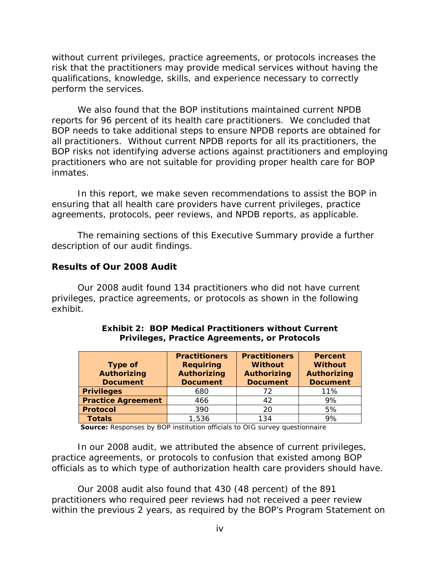without current privileges, practice agreements, or protocols increases the risk that the practitioners may provide medical services without having the qualifications, knowledge, skills, and experience necessary to correctly perform the services.

We also found that the BOP institutions maintained current NPDB reports for 96 percent of its health care practitioners. We concluded that BOP needs to take additional steps to ensure NPDB reports are obtained for all practitioners. Without current NPDB reports for all its practitioners, the BOP risks not identifying adverse actions against practitioners and employing practitioners who are not suitable for providing proper health care for BOP inmates.

In this report, we make seven recommendations to assist the BOP in ensuring that all health care providers have current privileges, practice agreements, protocols, peer reviews, and NPDB reports, as applicable.

The remaining sections of this Executive Summary provide a further description of our audit findings.

### **Results of Our 2008 Audit**

Our 2008 audit found 134 practitioners who did not have current privileges, practice agreements, or protocols as shown in the following exhibit.

| <b>Type of</b><br><b>Authorizing</b><br><b>Document</b> | <b>Practitioners</b><br><b>Requiring</b><br><b>Authorizing</b><br><b>Document</b> | <b>Practitioners</b><br><b>Without</b><br><b>Authorizing</b><br><b>Document</b> | <b>Percent</b><br><b>Without</b><br><b>Authorizing</b><br><b>Document</b> |
|---------------------------------------------------------|-----------------------------------------------------------------------------------|---------------------------------------------------------------------------------|---------------------------------------------------------------------------|
| <b>Privileges</b>                                       | 680                                                                               | 72                                                                              | 11%                                                                       |
| <b>Practice Agreement</b>                               | 466                                                                               | 42                                                                              | 9%                                                                        |
| <b>Protocol</b>                                         | 390                                                                               | 20                                                                              | 5%                                                                        |
| <b>Totals</b>                                           | 1,536                                                                             | 134                                                                             | 9%                                                                        |

#### **Exhibit 2: BOP Medical Practitioners without Current Privileges, Practice Agreements, or Protocols**

**Source:** Responses by BOP institution officials to OIG survey questionnaire

In our 2008 audit, we attributed the absence of current privileges, practice agreements, or protocols to confusion that existed among BOP officials as to which type of authorization health care providers should have.

Our 2008 audit also found that 430 (48 percent) of the 891 practitioners who required peer reviews had not received a peer review within the previous 2 years, as required by the BOP's Program Statement on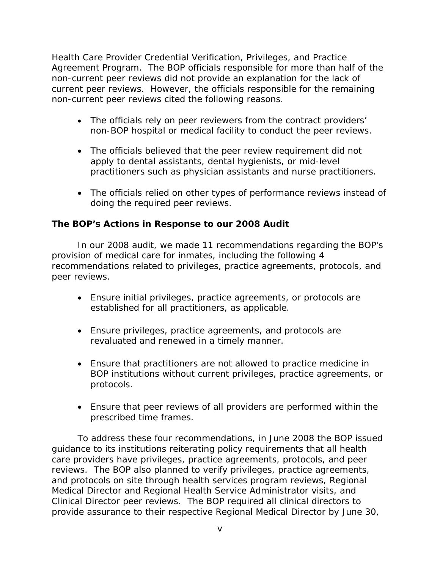Health Care Provider Credential Verification, Privileges, and Practice Agreement Program. The BOP officials responsible for more than half of the non-current peer reviews did not provide an explanation for the lack of current peer reviews. However, the officials responsible for the remaining non-current peer reviews cited the following reasons.

- The officials rely on peer reviewers from the contract providers' non-BOP hospital or medical facility to conduct the peer reviews.
- The officials believed that the peer review requirement did not apply to dental assistants, dental hygienists, or mid-level practitioners such as physician assistants and nurse practitioners.
- The officials relied on other types of performance reviews instead of doing the required peer reviews.

# **The BOP's Actions in Response to our 2008 Audit**

In our 2008 audit, we made 11 recommendations regarding the BOP's provision of medical care for inmates, including the following 4 recommendations related to privileges, practice agreements, protocols, and peer reviews.

- Ensure initial privileges, practice agreements, or protocols are established for all practitioners, as applicable.
- Ensure privileges, practice agreements, and protocols are revaluated and renewed in a timely manner.
- Ensure that practitioners are not allowed to practice medicine in BOP institutions without current privileges, practice agreements, or protocols.
- Ensure that peer reviews of all providers are performed within the prescribed time frames.

To address these four recommendations, in June 2008 the BOP issued guidance to its institutions reiterating policy requirements that all health care providers have privileges, practice agreements, protocols, and peer reviews. The BOP also planned to verify privileges, practice agreements, and protocols on site through health services program reviews, Regional Medical Director and Regional Health Service Administrator visits, and Clinical Director peer reviews. The BOP required all clinical directors to provide assurance to their respective Regional Medical Director by June 30,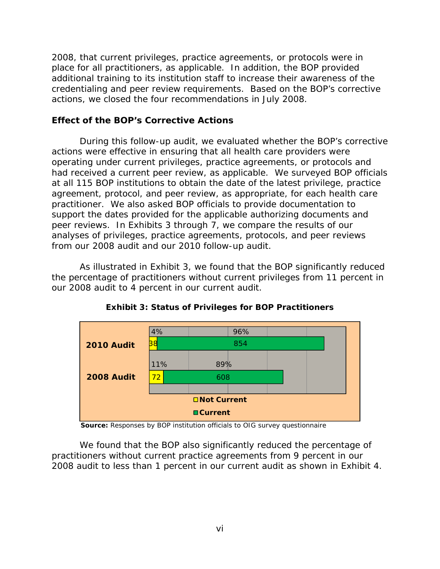2008, that current privileges, practice agreements, or protocols were in place for all practitioners, as applicable. In addition, the BOP provided additional training to its institution staff to increase their awareness of the credentialing and peer review requirements. Based on the BOP's corrective actions, we closed the four recommendations in July 2008.

# **Effect of the BOP's Corrective Actions**

During this follow-up audit, we evaluated whether the BOP's corrective actions were effective in ensuring that all health care providers were operating under current privileges, practice agreements, or protocols and had received a current peer review, as applicable. We surveyed BOP officials at all 115 BOP institutions to obtain the date of the latest privilege, practice agreement, protocol, and peer review, as appropriate, for each health care practitioner. We also asked BOP officials to provide documentation to support the dates provided for the applicable authorizing documents and peer reviews. In Exhibits 3 through 7, we compare the results of our analyses of privileges, practice agreements, protocols, and peer reviews from our 2008 audit and our 2010 follow-up audit.

As illustrated in Exhibit 3, we found that the BOP significantly reduced the percentage of practitioners without current privileges from 11 percent in our 2008 audit to 4 percent in our current audit.



**Exhibit 3: Status of Privileges for BOP Practitioners** 

**Source:** Responses by BOP institution officials to OIG survey questionnaire

We found that the BOP also significantly reduced the percentage of practitioners without current practice agreements from 9 percent in our 2008 audit to less than 1 percent in our current audit as shown in Exhibit 4.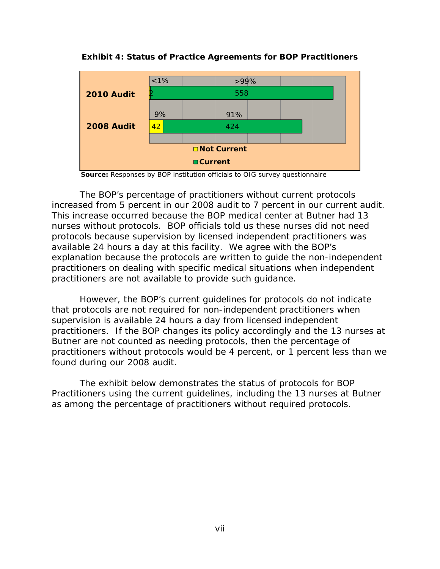

**Exhibit 4: Status of Practice Agreements for BOP Practitioners** 

**Source:** Responses by BOP institution officials to OIG survey questionnaire

The BOP's percentage of practitioners without current protocols increased from 5 percent in our 2008 audit to 7 percent in our current audit. This increase occurred because the BOP medical center at Butner had 13 nurses without protocols. BOP officials told us these nurses did not need protocols because supervision by licensed independent practitioners was available 24 hours a day at this facility. We agree with the BOP's explanation because the protocols are written to guide the non-independent practitioners on dealing with specific medical situations when independent practitioners are not available to provide such guidance.

However, the BOP's current guidelines for protocols do not indicate that protocols are not required for non-independent practitioners when supervision is available 24 hours a day from licensed independent practitioners. If the BOP changes its policy accordingly and the 13 nurses at Butner are not counted as needing protocols, then the percentage of practitioners without protocols would be 4 percent, or 1 percent less than we found during our 2008 audit.

The exhibit below demonstrates the status of protocols for BOP Practitioners using the current guidelines, including the 13 nurses at Butner as among the percentage of practitioners without required protocols.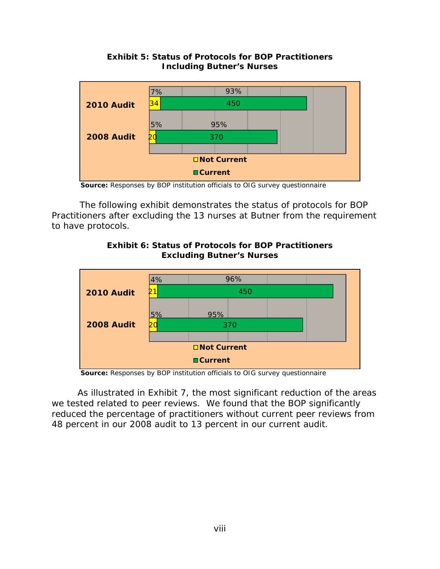

### **Exhibit 5: Status of Protocols for BOP Practitioners Including Butner's Nurses**

**Source:** Responses by BOP institution officials to OIG survey questionnaire

The following exhibit demonstrates the status of protocols for BOP Practitioners after excluding the 13 nurses at Butner from the requirement to have protocols.



#### **Exhibit 6: Status of Protocols for BOP Practitioners Excluding Butner's Nurses**

**Source:** Responses by BOP institution officials to OIG survey questionnaire

As illustrated in Exhibit 7, the most significant reduction of the areas we tested related to peer reviews. We found that the BOP significantly reduced the percentage of practitioners without current peer reviews from 48 percent in our 2008 audit to 13 percent in our current audit.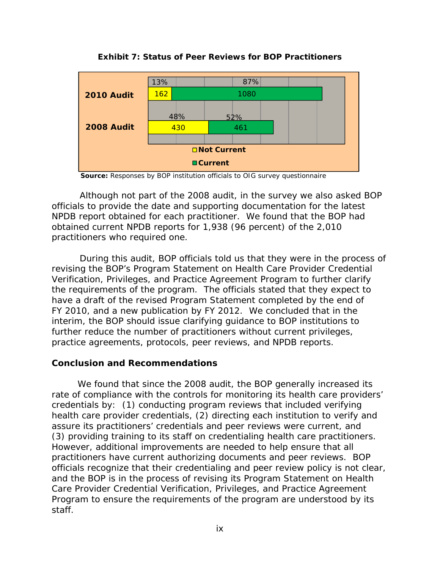

**Exhibit 7: Status of Peer Reviews for BOP Practitioners** 

**Source:** Responses by BOP institution officials to OIG survey questionnaire

Although not part of the 2008 audit, in the survey we also asked BOP officials to provide the date and supporting documentation for the latest NPDB report obtained for each practitioner. We found that the BOP had obtained current NPDB reports for 1,938 (96 percent) of the 2,010 practitioners who required one.

During this audit, BOP officials told us that they were in the process of revising the BOP's Program Statement on Health Care Provider Credential Verification, Privileges, and Practice Agreement Program to further clarify the requirements of the program. The officials stated that they expect to have a draft of the revised Program Statement completed by the end of FY 2010, and a new publication by FY 2012. We concluded that in the interim, the BOP should issue clarifying guidance to BOP institutions to further reduce the number of practitioners without current privileges, practice agreements, protocols, peer reviews, and NPDB reports.

#### **Conclusion and Recommendations**

We found that since the 2008 audit, the BOP generally increased its rate of compliance with the controls for monitoring its health care providers' credentials by: (1) conducting program reviews that included verifying health care provider credentials, (2) directing each institution to verify and assure its practitioners' credentials and peer reviews were current, and (3) providing training to its staff on credentialing health care practitioners. However, additional improvements are needed to help ensure that all practitioners have current authorizing documents and peer reviews. BOP officials recognize that their credentialing and peer review policy is not clear, and the BOP is in the process of revising its Program Statement on Health Care Provider Credential Verification, Privileges, and Practice Agreement Program to ensure the requirements of the program are understood by its staff.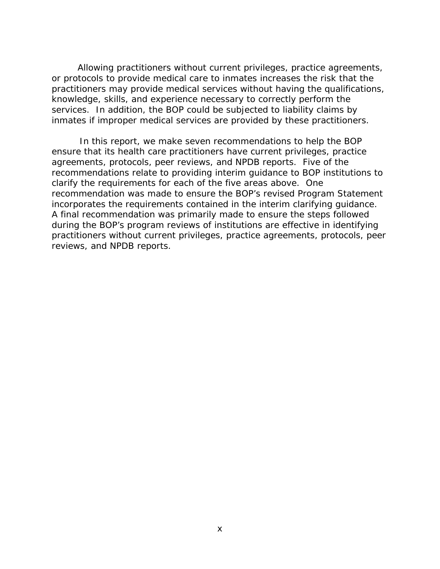Allowing practitioners without current privileges, practice agreements, or protocols to provide medical care to inmates increases the risk that the practitioners may provide medical services without having the qualifications, knowledge, skills, and experience necessary to correctly perform the services. In addition, the BOP could be subjected to liability claims by inmates if improper medical services are provided by these practitioners.

In this report, we make seven recommendations to help the BOP ensure that its health care practitioners have current privileges, practice agreements, protocols, peer reviews, and NPDB reports. Five of the recommendations relate to providing interim guidance to BOP institutions to clarify the requirements for each of the five areas above. One recommendation was made to ensure the BOP's revised Program Statement incorporates the requirements contained in the interim clarifying guidance. A final recommendation was primarily made to ensure the steps followed during the BOP's program reviews of institutions are effective in identifying practitioners without current privileges, practice agreements, protocols, peer reviews, and NPDB reports.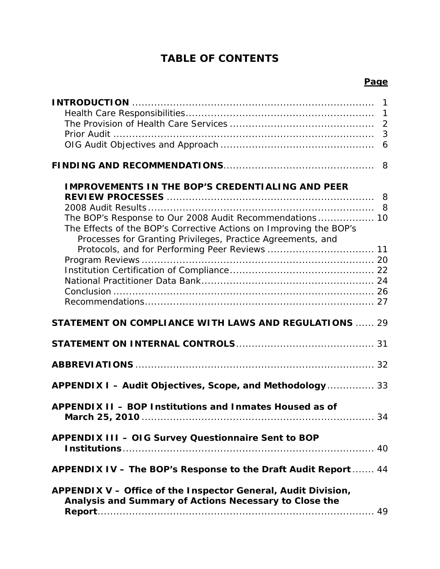# **TABLE OF CONTENTS**

# **Page**

|                                                                                                                                                                                                                                                         | $\mathbf{1}$<br>$\mathbf{1}$<br>$\overline{2}$<br>3<br>6 |
|---------------------------------------------------------------------------------------------------------------------------------------------------------------------------------------------------------------------------------------------------------|----------------------------------------------------------|
|                                                                                                                                                                                                                                                         | 8                                                        |
| <b>IMPROVEMENTS IN THE BOP'S CREDENTIALING AND PEER</b><br>The BOP's Response to Our 2008 Audit Recommendations 10<br>The Effects of the BOP's Corrective Actions on Improving the BOP's<br>Processes for Granting Privileges, Practice Agreements, and |                                                          |
| <b>STATEMENT ON COMPLIANCE WITH LAWS AND REGULATIONS  29</b>                                                                                                                                                                                            |                                                          |
|                                                                                                                                                                                                                                                         |                                                          |
|                                                                                                                                                                                                                                                         |                                                          |
| APPENDIX I - Audit Objectives, Scope, and Methodology 33                                                                                                                                                                                                |                                                          |
| APPENDIX II - BOP Institutions and Inmates Housed as of                                                                                                                                                                                                 |                                                          |
| APPENDIX III - OIG Survey Questionnaire Sent to BOP                                                                                                                                                                                                     |                                                          |
| APPENDIX IV - The BOP's Response to the Draft Audit Report  44                                                                                                                                                                                          |                                                          |
| APPENDIX V - Office of the Inspector General, Audit Division,<br>Analysis and Summary of Actions Necessary to Close the                                                                                                                                 |                                                          |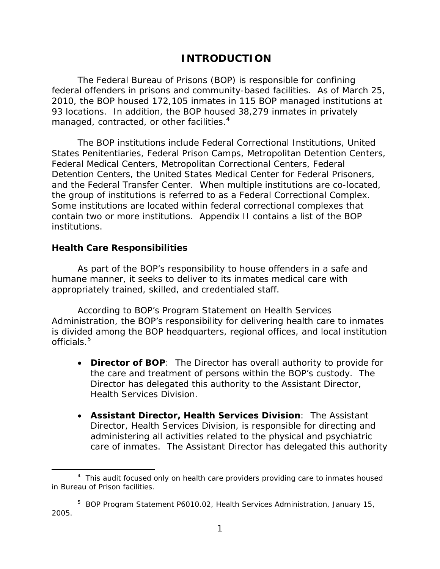# **INTRODUCTION**

<span id="page-12-0"></span>The Federal Bureau of Prisons (BOP) is responsible for confining federal offenders in prisons and community-based facilities. As of March 25, 2010, the BOP housed 172,105 inmates in 115 BOP managed institutions at 93 locations. In addition, the BOP housed 38,279 inmates in privately managed, contracted, or other facilities.<sup>4</sup>

The BOP institutions include Federal Correctional Institutions, United States Penitentiaries, Federal Prison Camps, Metropolitan Detention Centers, Federal Medical Centers, Metropolitan Correctional Centers, Federal Detention Centers, the United States Medical Center for Federal Prisoners, and the Federal Transfer Center. When multiple institutions are co-located, the group of institutions is referred to as a Federal Correctional Complex. Some institutions are located within federal correctional complexes that contain two or more institutions. Appendix II contains a list of the BOP institutions.

### **Health Care Responsibilities**

1

As part of the BOP's responsibility to house offenders in a safe and humane manner, it seeks to deliver to its inmates medical care with appropriately trained, skilled, and credentialed staff.

According to BOP's Program Statement on Health Services Administration, the BOP's responsibility for delivering health care to inmates is divided among the BOP headquarters, regional offices, and local institution officials  $5$ 

- **Director of BOP**: The Director has overall authority to provide for the care and treatment of persons within the BOP's custody. The Director has delegated this authority to the Assistant Director, Health Services Division.
- **Assistant Director, Health Services Division**: The Assistant Director, Health Services Division, is responsible for directing and administering all activities related to the physical and psychiatric care of inmates. The Assistant Director has delegated this authority

 in Bureau of Prison facilities. <sup>4</sup> This audit focused only on health care providers providing care to inmates housed

<sup>5</sup> BOP Program Statement P6010.02, *Health Services Administration*, January 15, 2005.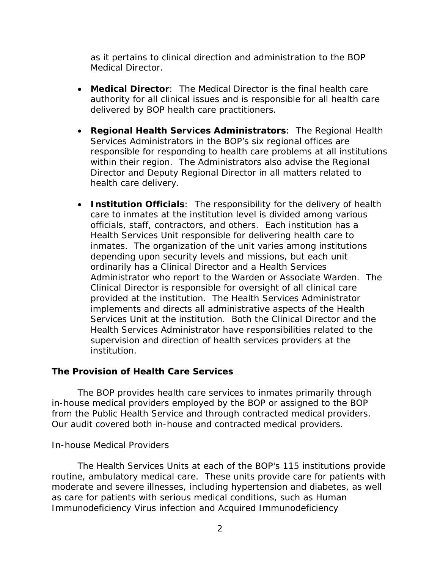<span id="page-13-0"></span>as it pertains to clinical direction and administration to the BOP Medical Director.

- **Medical Director**: The Medical Director is the final health care authority for all clinical issues and is responsible for all health care delivered by BOP health care practitioners.
- **Regional Health Services Administrators**: The Regional Health Services Administrators in the BOP's six regional offices are responsible for responding to health care problems at all institutions within their region. The Administrators also advise the Regional Director and Deputy Regional Director in all matters related to health care delivery.
- **Institution Officials**: The responsibility for the delivery of health care to inmates at the institution level is divided among various officials, staff, contractors, and others. Each institution has a Health Services Unit responsible for delivering health care to inmates. The organization of the unit varies among institutions depending upon security levels and missions, but each unit ordinarily has a Clinical Director and a Health Services Administrator who report to the Warden or Associate Warden. The Clinical Director is responsible for oversight of all clinical care provided at the institution. The Health Services Administrator implements and directs all administrative aspects of the Health Services Unit at the institution. Both the Clinical Director and the Health Services Administrator have responsibilities related to the supervision and direction of health services providers at the institution.

### **The Provision of Health Care Services**

The BOP provides health care services to inmates primarily through in-house medical providers employed by the BOP or assigned to the BOP from the Public Health Service and through contracted medical providers. Our audit covered both in-house and contracted medical providers.

### *In-house Medical Providers*

The Health Services Units at each of the BOP's 115 institutions provide routine, ambulatory medical care. These units provide care for patients with moderate and severe illnesses, including hypertension and diabetes, as well as care for patients with serious medical conditions, such as Human Immunodeficiency Virus infection and Acquired Immunodeficiency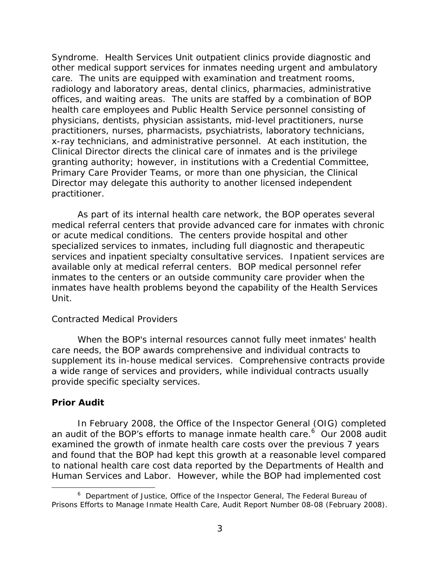<span id="page-14-0"></span>Syndrome. Health Services Unit outpatient clinics provide diagnostic and other medical support services for inmates needing urgent and ambulatory care. The units are equipped with examination and treatment rooms, radiology and laboratory areas, dental clinics, pharmacies, administrative offices, and waiting areas. The units are staffed by a combination of BOP health care employees and Public Health Service personnel consisting of physicians, dentists, physician assistants, mid-level practitioners, nurse practitioners, nurses, pharmacists, psychiatrists, laboratory technicians, x-ray technicians, and administrative personnel. At each institution, the Clinical Director directs the clinical care of inmates and is the privilege granting authority; however, in institutions with a Credential Committee, Primary Care Provider Teams, or more than one physician, the Clinical Director may delegate this authority to another licensed independent practitioner.

As part of its internal health care network, the BOP operates several medical referral centers that provide advanced care for inmates with chronic or acute medical conditions. The centers provide hospital and other specialized services to inmates, including full diagnostic and therapeutic services and inpatient specialty consultative services. Inpatient services are available only at medical referral centers. BOP medical personnel refer inmates to the centers or an outside community care provider when the inmates have health problems beyond the capability of the Health Services Unit.

#### *Contracted Medical Providers*

When the BOP's internal resources cannot fully meet inmates' health care needs, the BOP awards comprehensive and individual contracts to supplement its in-house medical services. Comprehensive contracts provide a wide range of services and providers, while individual contracts usually provide specific specialty services.

### **Prior Audit**

 $\overline{a}$ 

In February 2008, the Office of the Inspector General (OIG) completed an audit of the BOP's efforts to manage inmate health care.<sup>6</sup> Our 2008 audit examined the growth of inmate health care costs over the previous 7 years and found that the BOP had kept this growth at a reasonable level compared to national health care cost data reported by the Departments of Health and Human Services and Labor. However, while the BOP had implemented cost

<sup>6</sup> Department of Justice, Office of the Inspector General, *The Federal Bureau of Prisons Efforts to Manage Inmate Health Care,* Audit Report Number 08-08 (February 2008).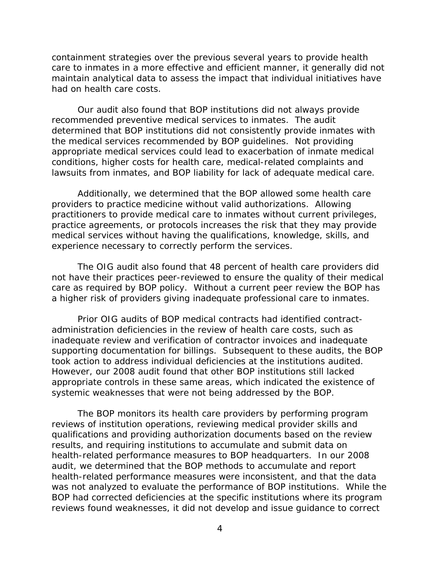containment strategies over the previous several years to provide health care to inmates in a more effective and efficient manner, it generally did not maintain analytical data to assess the impact that individual initiatives have had on health care costs.

Our audit also found that BOP institutions did not always provide recommended preventive medical services to inmates. The audit determined that BOP institutions did not consistently provide inmates with the medical services recommended by BOP guidelines. Not providing appropriate medical services could lead to exacerbation of inmate medical conditions, higher costs for health care, medical-related complaints and lawsuits from inmates, and BOP liability for lack of adequate medical care.

Additionally, we determined that the BOP allowed some health care providers to practice medicine without valid authorizations. Allowing practitioners to provide medical care to inmates without current privileges, practice agreements, or protocols increases the risk that they may provide medical services without having the qualifications, knowledge, skills, and experience necessary to correctly perform the services.

The OIG audit also found that 48 percent of health care providers did not have their practices peer-reviewed to ensure the quality of their medical care as required by BOP policy. Without a current peer review the BOP has a higher risk of providers giving inadequate professional care to inmates.

Prior OIG audits of BOP medical contracts had identified contractadministration deficiencies in the review of health care costs, such as inadequate review and verification of contractor invoices and inadequate supporting documentation for billings. Subsequent to these audits, the BOP took action to address individual deficiencies at the institutions audited. However, our 2008 audit found that other BOP institutions still lacked appropriate controls in these same areas, which indicated the existence of systemic weaknesses that were not being addressed by the BOP.

The BOP monitors its health care providers by performing program reviews of institution operations, reviewing medical provider skills and qualifications and providing authorization documents based on the review results, and requiring institutions to accumulate and submit data on health-related performance measures to BOP headquarters. In our 2008 audit, we determined that the BOP methods to accumulate and report health-related performance measures were inconsistent, and that the data was not analyzed to evaluate the performance of BOP institutions. While the BOP had corrected deficiencies at the specific institutions where its program reviews found weaknesses, it did not develop and issue guidance to correct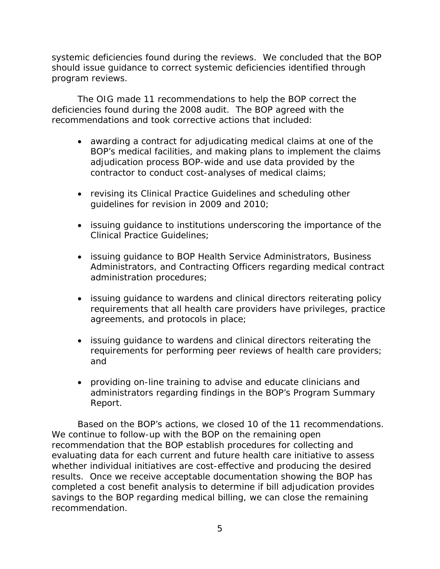systemic deficiencies found during the reviews. We concluded that the BOP should issue guidance to correct systemic deficiencies identified through program reviews.

The OIG made 11 recommendations to help the BOP correct the deficiencies found during the 2008 audit. The BOP agreed with the recommendations and took corrective actions that included:

- awarding a contract for adjudicating medical claims at one of the BOP's medical facilities, and making plans to implement the claims adjudication process BOP-wide and use data provided by the contractor to conduct cost-analyses of medical claims;
- revising its Clinical Practice Guidelines and scheduling other guidelines for revision in 2009 and 2010;
- issuing guidance to institutions underscoring the importance of the Clinical Practice Guidelines;
- issuing guidance to BOP Health Service Administrators, Business Administrators, and Contracting Officers regarding medical contract administration procedures;
- issuing guidance to wardens and clinical directors reiterating policy requirements that all health care providers have privileges, practice agreements, and protocols in place;
- issuing guidance to wardens and clinical directors reiterating the requirements for performing peer reviews of health care providers; and
- providing on-line training to advise and educate clinicians and administrators regarding findings in the BOP's Program Summary Report.

Based on the BOP's actions, we closed 10 of the 11 recommendations. We continue to follow-up with the BOP on the remaining open recommendation that the BOP establish procedures for collecting and evaluating data for each current and future health care initiative to assess whether individual initiatives are cost-effective and producing the desired results. Once we receive acceptable documentation showing the BOP has completed a cost benefit analysis to determine if bill adjudication provides savings to the BOP regarding medical billing, we can close the remaining recommendation.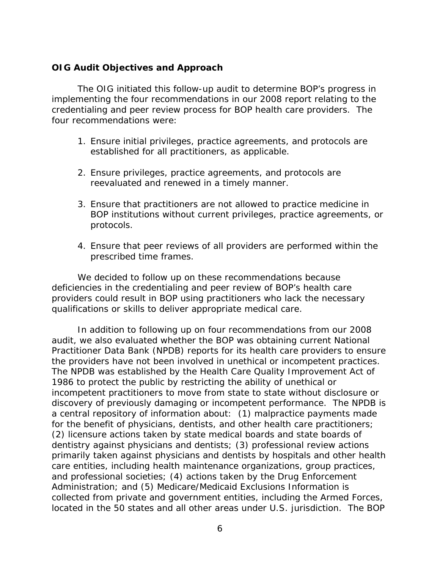# <span id="page-17-0"></span>**OIG Audit Objectives and Approach**

The OIG initiated this follow-up audit to determine BOP's progress in implementing the four recommendations in our 2008 report relating to the credentialing and peer review process for BOP health care providers. The four recommendations were:

- 1. Ensure initial privileges, practice agreements, and protocols are established for all practitioners, as applicable.
- 2. Ensure privileges, practice agreements, and protocols are reevaluated and renewed in a timely manner.
- 3. Ensure that practitioners are not allowed to practice medicine in BOP institutions without current privileges, practice agreements, or protocols.
- 4. Ensure that peer reviews of all providers are performed within the prescribed time frames.

We decided to follow up on these recommendations because deficiencies in the credentialing and peer review of BOP's health care providers could result in BOP using practitioners who lack the necessary qualifications or skills to deliver appropriate medical care.

In addition to following up on four recommendations from our 2008 audit, we also evaluated whether the BOP was obtaining current National Practitioner Data Bank (NPDB) reports for its health care providers to ensure the providers have not been involved in unethical or incompetent practices. The NPDB was established by the Health Care Quality Improvement Act of 1986 to protect the public by restricting the ability of unethical or incompetent practitioners to move from state to state without disclosure or discovery of previously damaging or incompetent performance. The NPDB is a central repository of information about: (1) malpractice payments made for the benefit of physicians, dentists, and other health care practitioners; (2) licensure actions taken by state medical boards and state boards of dentistry against physicians and dentists; (3) professional review actions primarily taken against physicians and dentists by hospitals and other health care entities, including health maintenance organizations, group practices, and professional societies; (4) actions taken by the Drug Enforcement Administration; and (5) Medicare/Medicaid Exclusions Information is collected from private and government entities, including the Armed Forces, located in the 50 states and all other areas under U.S. jurisdiction. The BOP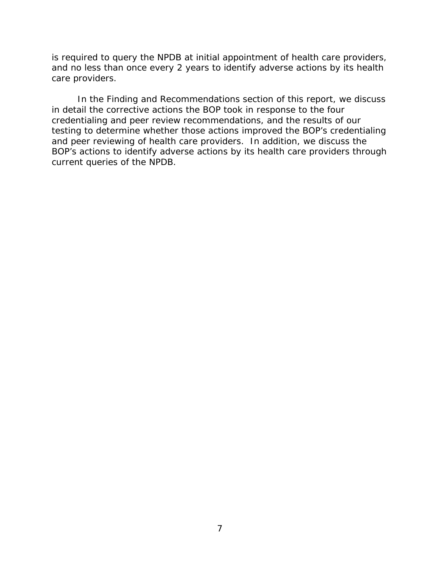is required to query the NPDB at initial appointment of health care providers, and no less than once every 2 years to identify adverse actions by its health care providers.

In the Finding and Recommendations section of this report, we discuss in detail the corrective actions the BOP took in response to the four credentialing and peer review recommendations, and the results of our testing to determine whether those actions improved the BOP's credentialing and peer reviewing of health care providers. In addition, we discuss the BOP's actions to identify adverse actions by its health care providers through current queries of the NPDB.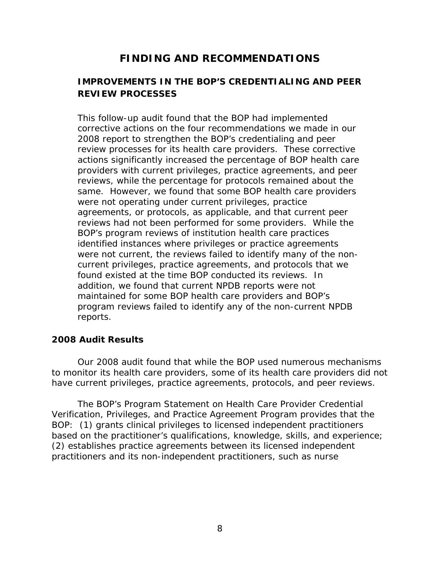# **FINDING AND RECOMMENDATIONS**

# <span id="page-19-0"></span>**IMPROVEMENTS IN THE BOP'S CREDENTIALING AND PEER REVIEW PROCESSES**

This follow-up audit found that the BOP had implemented corrective actions on the four recommendations we made in our 2008 report to strengthen the BOP's credentialing and peer review processes for its health care providers. These corrective actions significantly increased the percentage of BOP health care providers with current privileges, practice agreements, and peer reviews, while the percentage for protocols remained about the same. However, we found that some BOP health care providers were not operating under current privileges, practice agreements, or protocols, as applicable, and that current peer reviews had not been performed for some providers. While the BOP's program reviews of institution health care practices identified instances where privileges or practice agreements were not current, the reviews failed to identify many of the noncurrent privileges, practice agreements, and protocols that we found existed at the time BOP conducted its reviews. In addition, we found that current NPDB reports were not maintained for some BOP health care providers and BOP's program reviews failed to identify any of the non-current NPDB reports.

### **2008 Audit Results**

Our 2008 audit found that while the BOP used numerous mechanisms to monitor its health care providers, some of its health care providers did not have current privileges, practice agreements, protocols, and peer reviews.

The BOP's Program Statement on Health Care Provider Credential Verification, Privileges, and Practice Agreement Program provides that the BOP: (1) grants clinical privileges to licensed independent practitioners based on the practitioner's qualifications, knowledge, skills, and experience; (2) establishes practice agreements between its licensed independent practitioners and its non-independent practitioners, such as nurse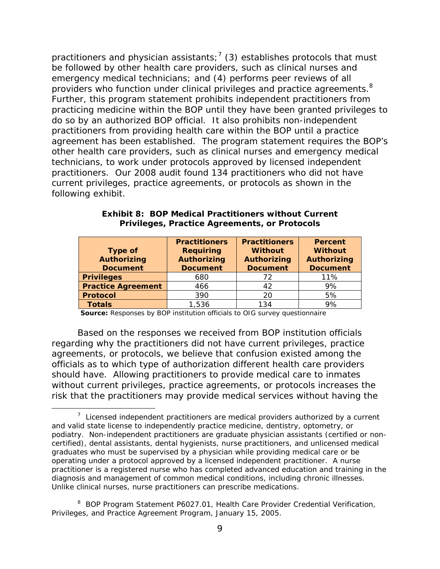providers who function under clinical privileges and practice agreements.<sup>8</sup> practitioners and physician assistants;<sup>7</sup> (3) establishes protocols that must be followed by other health care providers, such as clinical nurses and emergency medical technicians; and (4) performs peer reviews of all Further, this program statement prohibits independent practitioners from practicing medicine within the BOP until they have been granted privileges to do so by an authorized BOP official. It also prohibits non-independent practitioners from providing health care within the BOP until a practice agreement has been established. The program statement requires the BOP's other health care providers, such as clinical nurses and emergency medical technicians, to work under protocols approved by licensed independent practitioners. Our 2008 audit found 134 practitioners who did not have current privileges, practice agreements, or protocols as shown in the following exhibit.

|                           | <b>Practitioners</b> | <b>Practitioners</b> | <b>Percent</b>     |
|---------------------------|----------------------|----------------------|--------------------|
| <b>Type of</b>            | <b>Requiring</b>     | <b>Without</b>       | <b>Without</b>     |
| <b>Authorizing</b>        | <b>Authorizing</b>   | <b>Authorizing</b>   | <b>Authorizing</b> |
| <b>Document</b>           | <b>Document</b>      | <b>Document</b>      | <b>Document</b>    |
| <b>Privileges</b>         | 680                  | 72                   | 11%                |
| <b>Practice Agreement</b> | 466                  | 42                   | 9%                 |
| <b>Protocol</b>           | 390                  | 20                   | 5%                 |
| <b>Totals</b>             | 1,536                | 134                  | 9%                 |

**Exhibit 8: BOP Medical Practitioners without Current Privileges, Practice Agreements, or Protocols**

**Source:** Responses by BOP institution officials to OIG survey questionnaire

 $\overline{a}$ 

Based on the responses we received from BOP institution officials regarding why the practitioners did not have current privileges, practice agreements, or protocols, we believe that confusion existed among the officials as to which type of authorization different health care providers should have. Allowing practitioners to provide medical care to inmates without current privileges, practice agreements, or protocols increases the risk that the practitioners may provide medical services without having the

 $17$  Licensed independent practitioners are medical providers authorized by a current and valid state license to independently practice medicine, dentistry, optometry, or podiatry. Non-independent practitioners are graduate physician assistants (certified or noncertified), dental assistants, dental hygienists, nurse practitioners, and unlicensed medical graduates who must be supervised by a physician while providing medical care or be operating under a protocol approved by a licensed independent practitioner. A nurse practitioner is a registered nurse who has completed advanced education and training in the diagnosis and management of common medical conditions, including chronic illnesses. Unlike clinical nurses, nurse practitioners can prescribe medications.

<sup>8</sup> BOP Program Statement P6027.01, *Health Care Provider Credential Verification, Privileges, and Practice Agreement Program*, January 15, 2005.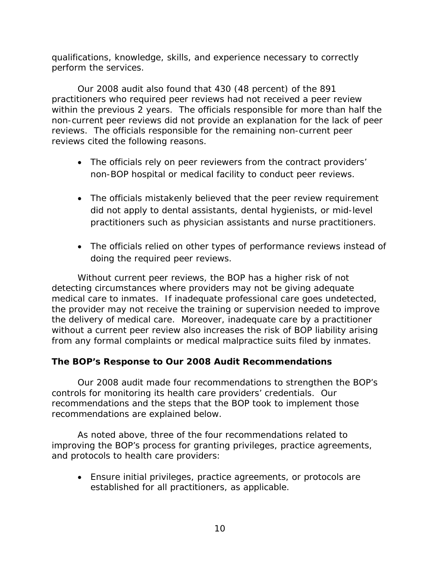<span id="page-21-0"></span>qualifications, knowledge, skills, and experience necessary to correctly perform the services.

Our 2008 audit also found that 430 (48 percent) of the 891 practitioners who required peer reviews had not received a peer review within the previous 2 years. The officials responsible for more than half the non-current peer reviews did not provide an explanation for the lack of peer reviews. The officials responsible for the remaining non-current peer reviews cited the following reasons.

- The officials rely on peer reviewers from the contract providers' non-BOP hospital or medical facility to conduct peer reviews.
- The officials mistakenly believed that the peer review requirement did not apply to dental assistants, dental hygienists, or mid-level practitioners such as physician assistants and nurse practitioners.
- The officials relied on other types of performance reviews instead of doing the required peer reviews.

Without current peer reviews, the BOP has a higher risk of not detecting circumstances where providers may not be giving adequate medical care to inmates. If inadequate professional care goes undetected, the provider may not receive the training or supervision needed to improve the delivery of medical care. Moreover, inadequate care by a practitioner without a current peer review also increases the risk of BOP liability arising from any formal complaints or medical malpractice suits filed by inmates.

# **The BOP's Response to Our 2008 Audit Recommendations**

Our 2008 audit made four recommendations to strengthen the BOP's controls for monitoring its health care providers' credentials. Our recommendations and the steps that the BOP took to implement those recommendations are explained below.

As noted above, three of the four recommendations related to improving the BOP's process for granting privileges, practice agreements, and protocols to health care providers:

 Ensure initial privileges, practice agreements, or protocols are established for all practitioners, as applicable.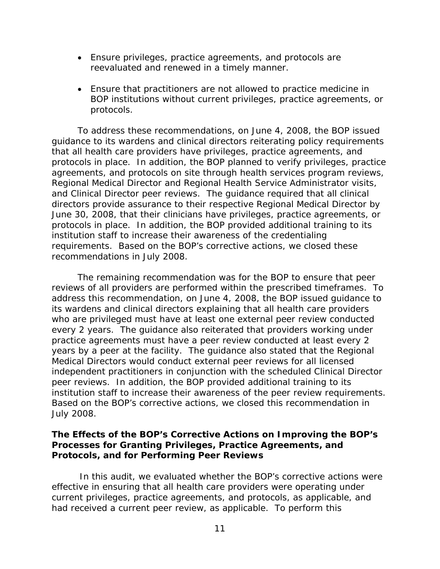- <span id="page-22-0"></span> Ensure privileges, practice agreements, and protocols are reevaluated and renewed in a timely manner.
- Ensure that practitioners are not allowed to practice medicine in BOP institutions without current privileges, practice agreements, or protocols.

To address these recommendations, on June 4, 2008, the BOP issued guidance to its wardens and clinical directors reiterating policy requirements that all health care providers have privileges, practice agreements, and protocols in place. In addition, the BOP planned to verify privileges, practice agreements, and protocols on site through health services program reviews, Regional Medical Director and Regional Health Service Administrator visits, and Clinical Director peer reviews. The guidance required that all clinical directors provide assurance to their respective Regional Medical Director by June 30, 2008, that their clinicians have privileges, practice agreements, or protocols in place. In addition, the BOP provided additional training to its institution staff to increase their awareness of the credentialing requirements. Based on the BOP's corrective actions, we closed these recommendations in July 2008.

The remaining recommendation was for the BOP to ensure that peer reviews of all providers are performed within the prescribed timeframes. To address this recommendation, on June 4, 2008, the BOP issued guidance to its wardens and clinical directors explaining that all health care providers who are privileged must have at least one external peer review conducted every 2 years. The guidance also reiterated that providers working under practice agreements must have a peer review conducted at least every 2 years by a peer at the facility. The guidance also stated that the Regional Medical Directors would conduct external peer reviews for all licensed independent practitioners in conjunction with the scheduled Clinical Director peer reviews. In addition, the BOP provided additional training to its institution staff to increase their awareness of the peer review requirements. Based on the BOP's corrective actions, we closed this recommendation in July 2008.

### **The Effects of the BOP's Corrective Actions on Improving the BOP's Processes for Granting Privileges, Practice Agreements, and Protocols, and for Performing Peer Reviews**

In this audit, we evaluated whether the BOP's corrective actions were effective in ensuring that all health care providers were operating under current privileges, practice agreements, and protocols, as applicable, and had received a current peer review, as applicable. To perform this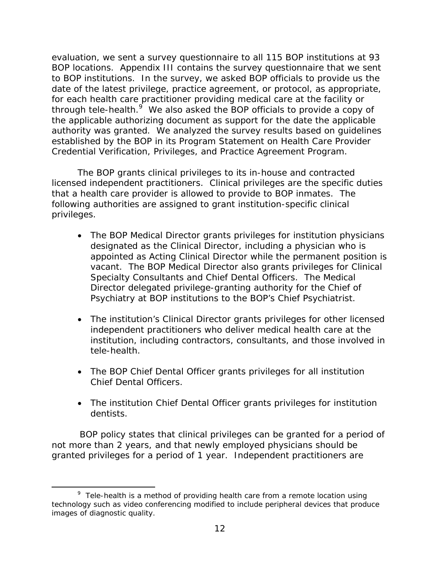evaluation, we sent a survey questionnaire to all 115 BOP institutions at 93 BOP locations. Appendix III contains the survey questionnaire that we sent to BOP institutions. In the survey, we asked BOP officials to provide us the date of the latest privilege, practice agreement, or protocol, as appropriate, for each health care practitioner providing medical care at the facility or through tele-health. $9$  We also asked the BOP officials to provide a copy of the applicable authorizing document as support for the date the applicable authority was granted. We analyzed the survey results based on guidelines established by the BOP in its Program Statement on Health Care Provider Credential Verification, Privileges, and Practice Agreement Program.

The BOP grants clinical privileges to its in-house and contracted licensed independent practitioners. Clinical privileges are the specific duties that a health care provider is allowed to provide to BOP inmates. The following authorities are assigned to grant institution-specific clinical privileges.

- The BOP Medical Director grants privileges for institution physicians designated as the Clinical Director, including a physician who is appointed as Acting Clinical Director while the permanent position is vacant. The BOP Medical Director also grants privileges for Clinical Specialty Consultants and Chief Dental Officers. The Medical Director delegated privilege-granting authority for the Chief of Psychiatry at BOP institutions to the BOP's Chief Psychiatrist.
- The institution's Clinical Director grants privileges for other licensed independent practitioners who deliver medical health care at the institution, including contractors, consultants, and those involved in tele-health.
- The BOP Chief Dental Officer grants privileges for all institution Chief Dental Officers.
- The institution Chief Dental Officer grants privileges for institution dentists.

BOP policy states that clinical privileges can be granted for a period of not more than 2 years, and that newly employed physicians should be granted privileges for a period of 1 year. Independent practitioners are

1

 $9$  Tele-health is a method of providing health care from a remote location using technology such as video conferencing modified to include peripheral devices that produce images of diagnostic quality.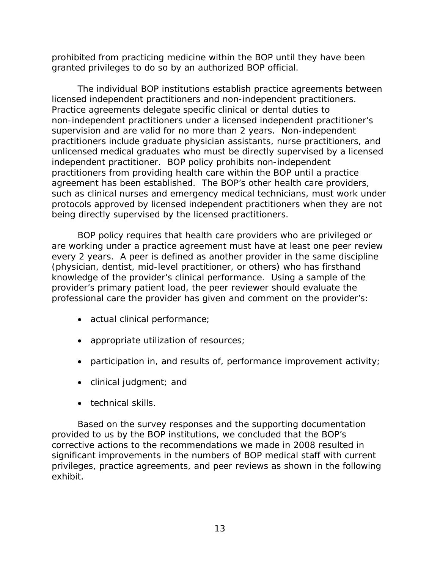prohibited from practicing medicine within the BOP until they have been granted privileges to do so by an authorized BOP official.

The individual BOP institutions establish practice agreements between licensed independent practitioners and non-independent practitioners. Practice agreements delegate specific clinical or dental duties to non-independent practitioners under a licensed independent practitioner's supervision and are valid for no more than 2 years. Non-independent practitioners include graduate physician assistants, nurse practitioners, and unlicensed medical graduates who must be directly supervised by a licensed independent practitioner. BOP policy prohibits non-independent practitioners from providing health care within the BOP until a practice agreement has been established. The BOP's other health care providers, such as clinical nurses and emergency medical technicians, must work under protocols approved by licensed independent practitioners when they are not being directly supervised by the licensed practitioners.

BOP policy requires that health care providers who are privileged or are working under a practice agreement must have at least one peer review every 2 years. A peer is defined as another provider in the same discipline (physician, dentist, mid-level practitioner, or others) who has firsthand knowledge of the provider's clinical performance. Using a sample of the provider's primary patient load, the peer reviewer should evaluate the professional care the provider has given and comment on the provider's:

- actual clinical performance;
- appropriate utilization of resources;
- participation in, and results of, performance improvement activity;
- clinical judgment; and
- technical skills.

Based on the survey responses and the supporting documentation provided to us by the BOP institutions, we concluded that the BOP's corrective actions to the recommendations we made in 2008 resulted in significant improvements in the numbers of BOP medical staff with current privileges, practice agreements, and peer reviews as shown in the following exhibit.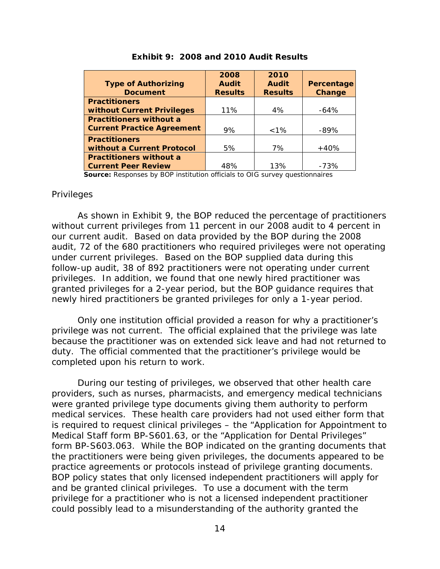|                                   | 2008           | 2010           |            |
|-----------------------------------|----------------|----------------|------------|
| <b>Type of Authorizing</b>        | <b>Audit</b>   | <b>Audit</b>   | Percentage |
| <b>Document</b>                   | <b>Results</b> | <b>Results</b> | Change     |
| <b>Practitioners</b>              |                |                |            |
| without Current Privileges        | 11%            | 4%             | -64%       |
| <b>Practitioners without a</b>    |                |                |            |
| <b>Current Practice Agreement</b> | 9%             | $< 1\%$        | -89%       |
| <b>Practitioners</b>              |                |                |            |
| without a Current Protocol        | 5%             | 7%             | $+40%$     |
| <b>Practitioners without a</b>    |                |                |            |
| <b>Current Peer Review</b>        | 48%            | 13%            | -73%       |

#### **Exhibit 9: 2008 and 2010 Audit Results**

**Source:** Responses by BOP institution officials to OIG survey questionnaires

#### *Privileges*

As shown in Exhibit 9, the BOP reduced the percentage of practitioners without current privileges from 11 percent in our 2008 audit to 4 percent in our current audit. Based on data provided by the BOP during the 2008 audit, 72 of the 680 practitioners who required privileges were not operating under current privileges. Based on the BOP supplied data during this follow-up audit, 38 of 892 practitioners were not operating under current privileges. In addition, we found that one newly hired practitioner was granted privileges for a 2-year period, but the BOP guidance requires that newly hired practitioners be granted privileges for only a 1-year period.

Only one institution official provided a reason for why a practitioner's privilege was not current. The official explained that the privilege was late because the practitioner was on extended sick leave and had not returned to duty. The official commented that the practitioner's privilege would be completed upon his return to work.

During our testing of privileges, we observed that other health care providers, such as nurses, pharmacists, and emergency medical technicians were granted privilege type documents giving them authority to perform medical services. These health care providers had not used either form that is required to request clinical privileges – the "Application for Appointment to Medical Staff form BP-S601.63, or the "Application for Dental Privileges" form BP-S603.063. While the BOP indicated on the granting documents that the practitioners were being given privileges, the documents appeared to be practice agreements or protocols instead of privilege granting documents. BOP policy states that only licensed independent practitioners will apply for and be granted clinical privileges. To use a document with the term privilege for a practitioner who is not a licensed independent practitioner could possibly lead to a misunderstanding of the authority granted the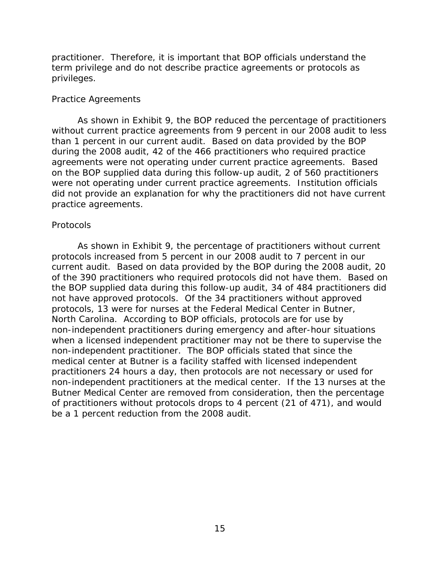practitioner. Therefore, it is important that BOP officials understand the term privilege and do not describe practice agreements or protocols as privileges.

#### *Practice Agreements*

As shown in Exhibit 9, the BOP reduced the percentage of practitioners without current practice agreements from 9 percent in our 2008 audit to less than 1 percent in our current audit. Based on data provided by the BOP during the 2008 audit, 42 of the 466 practitioners who required practice agreements were not operating under current practice agreements. Based on the BOP supplied data during this follow-up audit, 2 of 560 practitioners were not operating under current practice agreements. Institution officials did not provide an explanation for why the practitioners did not have current practice agreements.

### *Protocols*

As shown in Exhibit 9, the percentage of practitioners without current protocols increased from 5 percent in our 2008 audit to 7 percent in our current audit. Based on data provided by the BOP during the 2008 audit, 20 of the 390 practitioners who required protocols did not have them. Based on the BOP supplied data during this follow-up audit, 34 of 484 practitioners did not have approved protocols. Of the 34 practitioners without approved protocols, 13 were for nurses at the Federal Medical Center in Butner, North Carolina. According to BOP officials, protocols are for use by non-independent practitioners during emergency and after-hour situations when a licensed independent practitioner may not be there to supervise the non-independent practitioner. The BOP officials stated that since the medical center at Butner is a facility staffed with licensed independent practitioners 24 hours a day, then protocols are not necessary or used for non-independent practitioners at the medical center. If the 13 nurses at the Butner Medical Center are removed from consideration, then the percentage of practitioners without protocols drops to 4 percent (21 of 471), and would be a 1 percent reduction from the 2008 audit.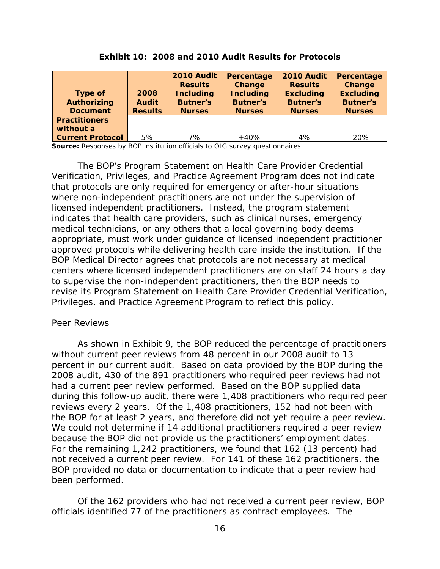| <b>Type of</b><br><b>Authorizing</b><br><b>Document</b> | 2008<br><b>Audit</b><br><b>Results</b> | 2010 Audit<br><b>Results</b><br><b>Including</b><br><b>Butner's</b><br><b>Nurses</b> | Percentage<br>Change<br><b>Including</b><br><b>Butner's</b><br><b>Nurses</b> | 2010 Audit<br><b>Results</b><br><b>Excluding</b><br><b>Butner's</b><br><b>Nurses</b> | Percentage<br>Change<br><b>Excluding</b><br><b>Butner's</b><br><b>Nurses</b> |
|---------------------------------------------------------|----------------------------------------|--------------------------------------------------------------------------------------|------------------------------------------------------------------------------|--------------------------------------------------------------------------------------|------------------------------------------------------------------------------|
| <b>Practitioners</b>                                    |                                        |                                                                                      |                                                                              |                                                                                      |                                                                              |
| without a                                               |                                        |                                                                                      |                                                                              |                                                                                      |                                                                              |

#### **Exhibit 10: 2008 and 2010 Audit Results for Protocols**

**Source:** Responses by BOP institution officials to OIG survey questionnaires

The BOP's Program Statement on Health Care Provider Credential Verification, Privileges, and Practice Agreement Program does not indicate that protocols are only required for emergency or after-hour situations where non-independent practitioners are not under the supervision of licensed independent practitioners. Instead, the program statement indicates that health care providers, such as clinical nurses, emergency medical technicians, or any others that a local governing body deems appropriate, must work under guidance of licensed independent practitioner approved protocols while delivering health care inside the institution. If the BOP Medical Director agrees that protocols are not necessary at medical centers where licensed independent practitioners are on staff 24 hours a day to supervise the non-independent practitioners, then the BOP needs to revise its Program Statement on Health Care Provider Credential Verification, Privileges, and Practice Agreement Program to reflect this policy.

#### *Peer Reviews*

As shown in Exhibit 9, the BOP reduced the percentage of practitioners without current peer reviews from 48 percent in our 2008 audit to 13 percent in our current audit. Based on data provided by the BOP during the 2008 audit, 430 of the 891 practitioners who required peer reviews had not had a current peer review performed. Based on the BOP supplied data during this follow-up audit, there were 1,408 practitioners who required peer reviews every 2 years. Of the 1,408 practitioners, 152 had not been with the BOP for at least 2 years, and therefore did not yet require a peer review. We could not determine if 14 additional practitioners required a peer review because the BOP did not provide us the practitioners' employment dates. For the remaining 1,242 practitioners, we found that 162 (13 percent) had not received a current peer review. For 141 of these 162 practitioners, the BOP provided no data or documentation to indicate that a peer review had been performed.

Of the 162 providers who had not received a current peer review, BOP officials identified 77 of the practitioners as contract employees. The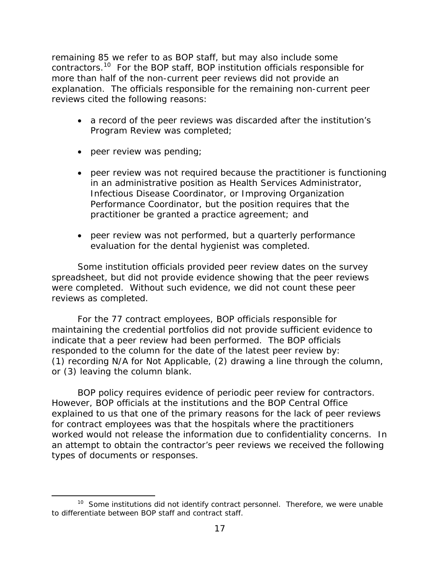remaining 85 we refer to as BOP staff, but may also include some contractors.10 For the BOP staff, BOP institution officials responsible for more than half of the non-current peer reviews did not provide an explanation. The officials responsible for the remaining non-current peer reviews cited the following reasons:

- a record of the peer reviews was discarded after the institution's Program Review was completed;
- peer review was pending;

 $\overline{a}$ 

- peer review was not required because the practitioner is functioning in an administrative position as Health Services Administrator, Infectious Disease Coordinator, or Improving Organization Performance Coordinator, but the position requires that the practitioner be granted a practice agreement; and
- peer review was not performed, but a quarterly performance evaluation for the dental hygienist was completed.

Some institution officials provided peer review dates on the survey spreadsheet, but did not provide evidence showing that the peer reviews were completed. Without such evidence, we did not count these peer reviews as completed.

For the 77 contract employees, BOP officials responsible for maintaining the credential portfolios did not provide sufficient evidence to indicate that a peer review had been performed. The BOP officials responded to the column for the date of the latest peer review by: (1) recording N/A for Not Applicable, (2) drawing a line through the column, or (3) leaving the column blank.

BOP policy requires evidence of periodic peer review for contractors. However, BOP officials at the institutions and the BOP Central Office explained to us that one of the primary reasons for the lack of peer reviews for contract employees was that the hospitals where the practitioners worked would not release the information due to confidentiality concerns. In an attempt to obtain the contractor's peer reviews we received the following types of documents or responses.

 $10$  Some institutions did not identify contract personnel. Therefore, we were unable to differentiate between BOP staff and contract staff.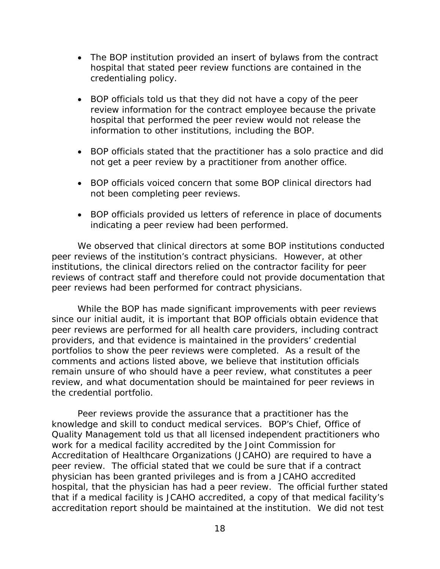- The BOP institution provided an insert of bylaws from the contract hospital that stated peer review functions are contained in the credentialing policy.
- BOP officials told us that they did not have a copy of the peer review information for the contract employee because the private hospital that performed the peer review would not release the information to other institutions, including the BOP.
- BOP officials stated that the practitioner has a solo practice and did not get a peer review by a practitioner from another office.
- BOP officials voiced concern that some BOP clinical directors had not been completing peer reviews.
- BOP officials provided us letters of reference in place of documents indicating a peer review had been performed.

We observed that clinical directors at some BOP institutions conducted peer reviews of the institution's contract physicians. However, at other institutions, the clinical directors relied on the contractor facility for peer reviews of contract staff and therefore could not provide documentation that peer reviews had been performed for contract physicians.

While the BOP has made significant improvements with peer reviews since our initial audit, it is important that BOP officials obtain evidence that peer reviews are performed for all health care providers, including contract providers, and that evidence is maintained in the providers' credential portfolios to show the peer reviews were completed. As a result of the comments and actions listed above, we believe that institution officials remain unsure of who should have a peer review, what constitutes a peer review, and what documentation should be maintained for peer reviews in the credential portfolio.

Peer reviews provide the assurance that a practitioner has the knowledge and skill to conduct medical services. BOP's Chief, Office of Quality Management told us that all licensed independent practitioners who work for a medical facility accredited by the Joint Commission for Accreditation of Healthcare Organizations (JCAHO) are required to have a peer review. The official stated that we could be sure that if a contract physician has been granted privileges and is from a JCAHO accredited hospital, that the physician has had a peer review. The official further stated that if a medical facility is JCAHO accredited, a copy of that medical facility's accreditation report should be maintained at the institution. We did not test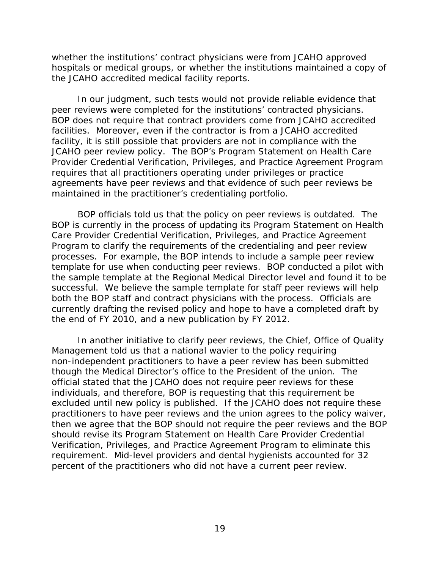whether the institutions' contract physicians were from JCAHO approved hospitals or medical groups, or whether the institutions maintained a copy of the JCAHO accredited medical facility reports.

In our judgment, such tests would not provide reliable evidence that peer reviews were completed for the institutions' contracted physicians. BOP does not require that contract providers come from JCAHO accredited facilities. Moreover, even if the contractor is from a JCAHO accredited facility, it is still possible that providers are not in compliance with the JCAHO peer review policy. The BOP's Program Statement on Health Care Provider Credential Verification, Privileges, and Practice Agreement Program requires that all practitioners operating under privileges or practice agreements have peer reviews and that evidence of such peer reviews be maintained in the practitioner's credentialing portfolio.

BOP officials told us that the policy on peer reviews is outdated. The BOP is currently in the process of updating its Program Statement on Health Care Provider Credential Verification, Privileges, and Practice Agreement Program to clarify the requirements of the credentialing and peer review processes. For example, the BOP intends to include a sample peer review template for use when conducting peer reviews. BOP conducted a pilot with the sample template at the Regional Medical Director level and found it to be successful. We believe the sample template for staff peer reviews will help both the BOP staff and contract physicians with the process. Officials are currently drafting the revised policy and hope to have a completed draft by the end of FY 2010, and a new publication by FY 2012.

In another initiative to clarify peer reviews, the Chief, Office of Quality Management told us that a national wavier to the policy requiring non-independent practitioners to have a peer review has been submitted though the Medical Director's office to the President of the union. The official stated that the JCAHO does not require peer reviews for these individuals, and therefore, BOP is requesting that this requirement be excluded until new policy is published. If the JCAHO does not require these practitioners to have peer reviews and the union agrees to the policy waiver, then we agree that the BOP should not require the peer reviews and the BOP should revise its Program Statement on Health Care Provider Credential Verification, Privileges, and Practice Agreement Program to eliminate this requirement. Mid-level providers and dental hygienists accounted for 32 percent of the practitioners who did not have a current peer review.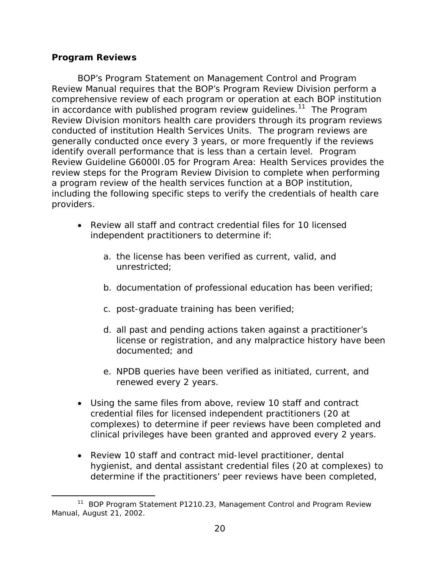# <span id="page-31-0"></span>**Program Reviews**

 $\overline{a}$ 

BOP's Program Statement on Management Control and Program Review Manual requires that the BOP's Program Review Division perform a comprehensive review of each program or operation at each BOP institution in accordance with published program review guidelines.<sup>11</sup> The Program Review Division monitors health care providers through its program reviews conducted of institution Health Services Units. The program reviews are generally conducted once every 3 years, or more frequently if the reviews identify overall performance that is less than a certain level. Program Review Guideline G6000I.05 for Program Area: Health Services provides the review steps for the Program Review Division to complete when performing a program review of the health services function at a BOP institution, including the following specific steps to verify the credentials of health care providers.

- Review all staff and contract credential files for 10 licensed independent practitioners to determine if:
	- a. the license has been verified as current, valid, and unrestricted;
	- b. documentation of professional education has been verified;
	- c. post-graduate training has been verified;
	- d. all past and pending actions taken against a practitioner's license or registration, and any malpractice history have been documented; and
	- e. NPDB queries have been verified as initiated, current, and renewed every 2 years.
- Using the same files from above, review 10 staff and contract credential files for licensed independent practitioners (20 at complexes) to determine if peer reviews have been completed and clinical privileges have been granted and approved every 2 years.
- Review 10 staff and contract mid-level practitioner, dental hygienist, and dental assistant credential files (20 at complexes) to determine if the practitioners' peer reviews have been completed,

<sup>11</sup> BOP Program Statement P1210.23, *Management Control and Program Review Manual*, August 21, 2002*.*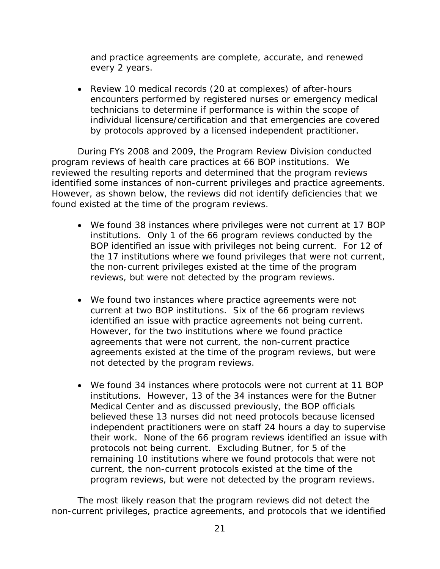and practice agreements are complete, accurate, and renewed every 2 years.

 Review 10 medical records (20 at complexes) of after-hours encounters performed by registered nurses or emergency medical technicians to determine if performance is within the scope of individual licensure/certification and that emergencies are covered by protocols approved by a licensed independent practitioner.

During FYs 2008 and 2009, the Program Review Division conducted program reviews of health care practices at 66 BOP institutions. We reviewed the resulting reports and determined that the program reviews identified some instances of non-current privileges and practice agreements. However, as shown below, the reviews did not identify deficiencies that we found existed at the time of the program reviews.

- We found 38 instances where privileges were not current at 17 BOP institutions. Only 1 of the 66 program reviews conducted by the BOP identified an issue with privileges not being current. For 12 of the 17 institutions where we found privileges that were not current, the non-current privileges existed at the time of the program reviews, but were not detected by the program reviews.
- We found two instances where practice agreements were not current at two BOP institutions. Six of the 66 program reviews identified an issue with practice agreements not being current. However, for the two institutions where we found practice agreements that were not current, the non-current practice agreements existed at the time of the program reviews, but were not detected by the program reviews.
- We found 34 instances where protocols were not current at 11 BOP institutions. However, 13 of the 34 instances were for the Butner Medical Center and as discussed previously, the BOP officials believed these 13 nurses did not need protocols because licensed independent practitioners were on staff 24 hours a day to supervise their work. None of the 66 program reviews identified an issue with protocols not being current. Excluding Butner, for 5 of the remaining 10 institutions where we found protocols that were not current, the non-current protocols existed at the time of the program reviews, but were not detected by the program reviews.

The most likely reason that the program reviews did not detect the non-current privileges, practice agreements, and protocols that we identified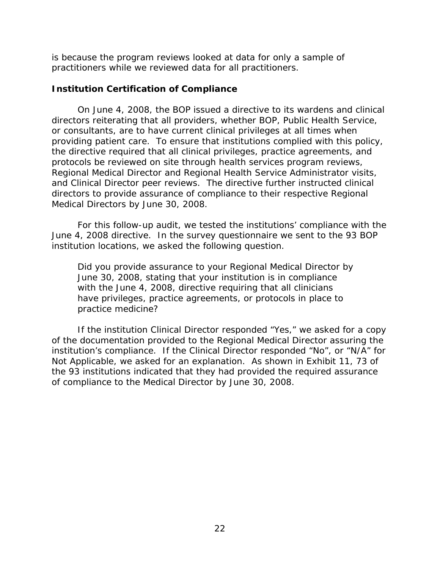<span id="page-33-0"></span>is because the program reviews looked at data for only a sample of practitioners while we reviewed data for all practitioners.

### **Institution Certification of Compliance**

On June 4, 2008, the BOP issued a directive to its wardens and clinical directors reiterating that all providers, whether BOP, Public Health Service, or consultants, are to have current clinical privileges at all times when providing patient care. To ensure that institutions complied with this policy, the directive required that all clinical privileges, practice agreements, and protocols be reviewed on site through health services program reviews, Regional Medical Director and Regional Health Service Administrator visits, and Clinical Director peer reviews. The directive further instructed clinical directors to provide assurance of compliance to their respective Regional Medical Directors by June 30, 2008.

For this follow-up audit, we tested the institutions' compliance with the June 4, 2008 directive. In the survey questionnaire we sent to the 93 BOP institution locations, we asked the following question.

Did you provide assurance to your Regional Medical Director by June 30, 2008, stating that your institution is in compliance with the June 4, 2008, directive requiring that all clinicians have privileges, practice agreements, or protocols in place to practice medicine?

If the institution Clinical Director responded "Yes," we asked for a copy of the documentation provided to the Regional Medical Director assuring the institution's compliance. If the Clinical Director responded "No", or "N/A" for Not Applicable, we asked for an explanation. As shown in Exhibit 11, 73 of the 93 institutions indicated that they had provided the required assurance of compliance to the Medical Director by June 30, 2008.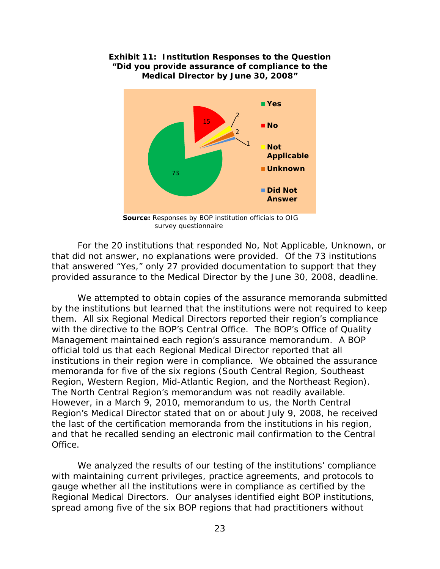

**Exhibit 11: Institution Responses to the Question "Did you provide assurance of compliance to the Medical Director by June 30, 2008"** 

**Source:** Responses by BOP institution officials to OIG survey questionnaire

For the 20 institutions that responded No, Not Applicable, Unknown, or that did not answer, no explanations were provided. Of the 73 institutions that answered "Yes," only 27 provided documentation to support that they provided assurance to the Medical Director by the June 30, 2008, deadline.

We attempted to obtain copies of the assurance memoranda submitted by the institutions but learned that the institutions were not required to keep them. All six Regional Medical Directors reported their region's compliance with the directive to the BOP's Central Office. The BOP's Office of Quality Management maintained each region's assurance memorandum. A BOP official told us that each Regional Medical Director reported that all institutions in their region were in compliance. We obtained the assurance memoranda for five of the six regions (South Central Region, Southeast Region, Western Region, Mid-Atlantic Region, and the Northeast Region). The North Central Region's memorandum was not readily available. However, in a March 9, 2010, memorandum to us, the North Central Region's Medical Director stated that on or about July 9, 2008, he received the last of the certification memoranda from the institutions in his region, and that he recalled sending an electronic mail confirmation to the Central Office.

We analyzed the results of our testing of the institutions' compliance with maintaining current privileges, practice agreements, and protocols to gauge whether all the institutions were in compliance as certified by the Regional Medical Directors. Our analyses identified eight BOP institutions, spread among five of the six BOP regions that had practitioners without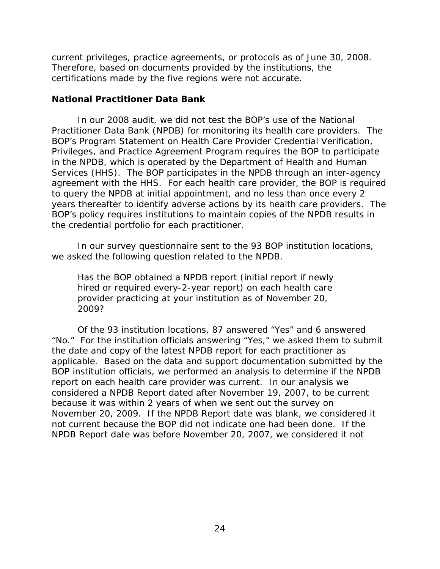<span id="page-35-0"></span>current privileges, practice agreements, or protocols as of June 30, 2008. Therefore, based on documents provided by the institutions, the certifications made by the five regions were not accurate.

#### **National Practitioner Data Bank**

In our 2008 audit, we did not test the BOP's use of the National Practitioner Data Bank (NPDB) for monitoring its health care providers. The BOP's Program Statement on Health Care Provider Credential Verification, Privileges, and Practice Agreement Program requires the BOP to participate in the NPDB, which is operated by the Department of Health and Human Services (HHS). The BOP participates in the NPDB through an inter-agency agreement with the HHS. For each health care provider, the BOP is required to query the NPDB at initial appointment, and no less than once every 2 years thereafter to identify adverse actions by its health care providers. The BOP's policy requires institutions to maintain copies of the NPDB results in the credential portfolio for each practitioner.

In our survey questionnaire sent to the 93 BOP institution locations, we asked the following question related to the NPDB.

Has the BOP obtained a NPDB report (initial report if newly hired or required every-2-year report) on each health care provider practicing at your institution as of November 20, 2009?

Of the 93 institution locations, 87 answered "Yes" and 6 answered "No." For the institution officials answering "Yes," we asked them to submit the date and copy of the latest NPDB report for each practitioner as applicable. Based on the data and support documentation submitted by the BOP institution officials, we performed an analysis to determine if the NPDB report on each health care provider was current. In our analysis we considered a NPDB Report dated after November 19, 2007, to be current because it was within 2 years of when we sent out the survey on November 20, 2009. If the NPDB Report date was blank, we considered it not current because the BOP did not indicate one had been done. If the NPDB Report date was before November 20, 2007, we considered it not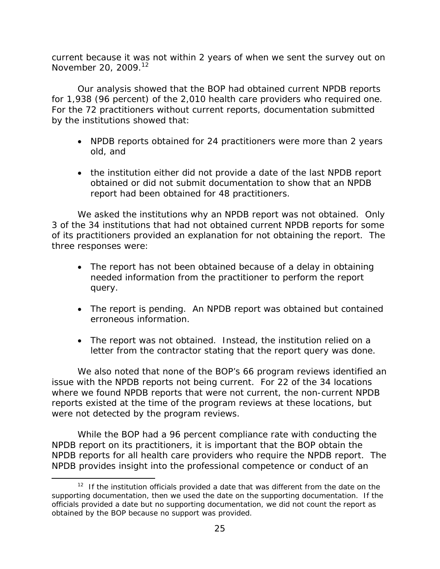November 20, 2009.<sup>12</sup> current because it was not within 2 years of when we sent the survey out on

Our analysis showed that the BOP had obtained current NPDB reports for 1,938 (96 percent) of the 2,010 health care providers who required one. For the 72 practitioners without current reports, documentation submitted by the institutions showed that:

- NPDB reports obtained for 24 practitioners were more than 2 years old, and
- the institution either did not provide a date of the last NPDB report obtained or did not submit documentation to show that an NPDB report had been obtained for 48 practitioners.

We asked the institutions why an NPDB report was not obtained. Only 3 of the 34 institutions that had not obtained current NPDB reports for some of its practitioners provided an explanation for not obtaining the report. The three responses were:

- The report has not been obtained because of a delay in obtaining needed information from the practitioner to perform the report query.
- The report is pending. An NPDB report was obtained but contained erroneous information.
- The report was not obtained. Instead, the institution relied on a letter from the contractor stating that the report query was done.

We also noted that none of the BOP's 66 program reviews identified an issue with the NPDB reports not being current. For 22 of the 34 locations where we found NPDB reports that were not current, the non-current NPDB reports existed at the time of the program reviews at these locations, but were not detected by the program reviews.

While the BOP had a 96 percent compliance rate with conducting the NPDB report on its practitioners, it is important that the BOP obtain the NPDB reports for all health care providers who require the NPDB report. The NPDB provides insight into the professional competence or conduct of an

 $\overline{a}$ 

 $12$  If the institution officials provided a date that was different from the date on the supporting documentation, then we used the date on the supporting documentation. If the officials provided a date but no supporting documentation, we did not count the report as obtained by the BOP because no support was provided.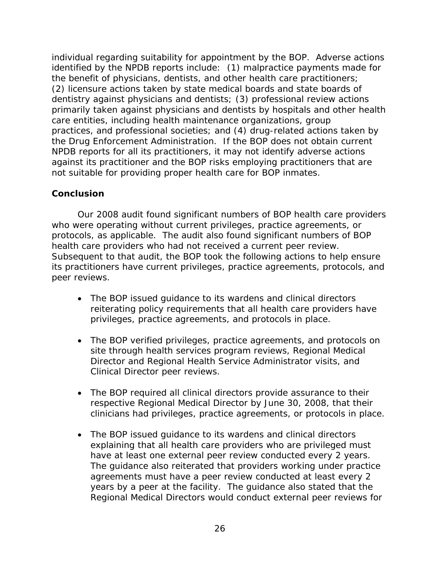<span id="page-37-0"></span>individual regarding suitability for appointment by the BOP. Adverse actions identified by the NPDB reports include: (1) malpractice payments made for the benefit of physicians, dentists, and other health care practitioners; (2) licensure actions taken by state medical boards and state boards of dentistry against physicians and dentists; (3) professional review actions primarily taken against physicians and dentists by hospitals and other health care entities, including health maintenance organizations, group practices, and professional societies; and (4) drug-related actions taken by the Drug Enforcement Administration. If the BOP does not obtain current NPDB reports for all its practitioners, it may not identify adverse actions against its practitioner and the BOP risks employing practitioners that are not suitable for providing proper health care for BOP inmates.

### **Conclusion**

Our 2008 audit found significant numbers of BOP health care providers who were operating without current privileges, practice agreements, or protocols, as applicable. The audit also found significant numbers of BOP health care providers who had not received a current peer review. Subsequent to that audit, the BOP took the following actions to help ensure its practitioners have current privileges, practice agreements, protocols, and peer reviews.

- The BOP issued quidance to its wardens and clinical directors reiterating policy requirements that all health care providers have privileges, practice agreements, and protocols in place.
- The BOP verified privileges, practice agreements, and protocols on site through health services program reviews, Regional Medical Director and Regional Health Service Administrator visits, and Clinical Director peer reviews.
- The BOP required all clinical directors provide assurance to their respective Regional Medical Director by June 30, 2008, that their clinicians had privileges, practice agreements, or protocols in place.
- The BOP issued guidance to its wardens and clinical directors explaining that all health care providers who are privileged must have at least one external peer review conducted every 2 years. The guidance also reiterated that providers working under practice agreements must have a peer review conducted at least every 2 years by a peer at the facility. The guidance also stated that the Regional Medical Directors would conduct external peer reviews for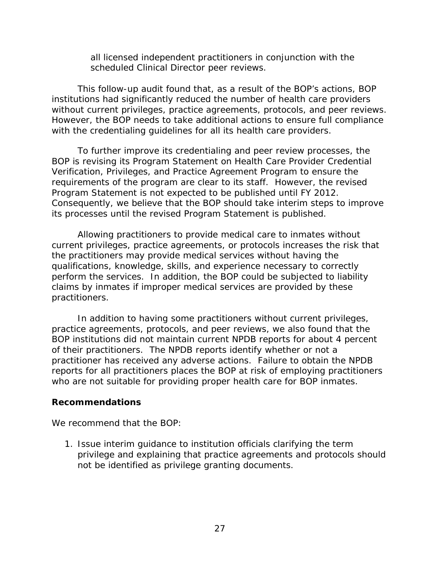all licensed independent practitioners in conjunction with the scheduled Clinical Director peer reviews.

<span id="page-38-0"></span>This follow-up audit found that, as a result of the BOP's actions, BOP institutions had significantly reduced the number of health care providers without current privileges, practice agreements, protocols, and peer reviews. However, the BOP needs to take additional actions to ensure full compliance with the credentialing guidelines for all its health care providers.

To further improve its credentialing and peer review processes, the BOP is revising its Program Statement on Health Care Provider Credential Verification, Privileges, and Practice Agreement Program to ensure the requirements of the program are clear to its staff. However, the revised Program Statement is not expected to be published until FY 2012. Consequently, we believe that the BOP should take interim steps to improve its processes until the revised Program Statement is published.

Allowing practitioners to provide medical care to inmates without current privileges, practice agreements, or protocols increases the risk that the practitioners may provide medical services without having the qualifications, knowledge, skills, and experience necessary to correctly perform the services. In addition, the BOP could be subjected to liability claims by inmates if improper medical services are provided by these practitioners.

In addition to having some practitioners without current privileges, practice agreements, protocols, and peer reviews, we also found that the BOP institutions did not maintain current NPDB reports for about 4 percent of their practitioners. The NPDB reports identify whether or not a practitioner has received any adverse actions. Failure to obtain the NPDB reports for all practitioners places the BOP at risk of employing practitioners who are not suitable for providing proper health care for BOP inmates.

### **Recommendations**

We recommend that the BOP:

1. Issue interim guidance to institution officials clarifying the term privilege and explaining that practice agreements and protocols should not be identified as privilege granting documents.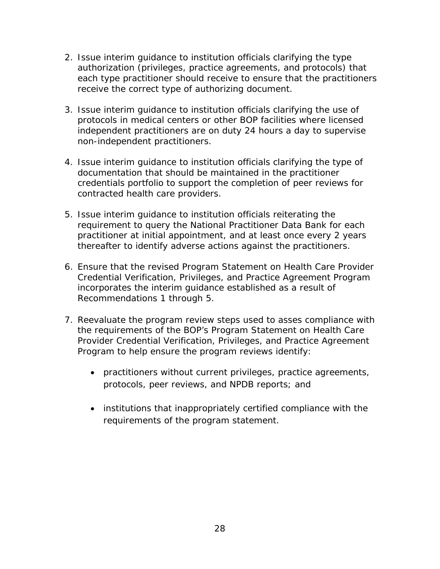- 2. Issue interim guidance to institution officials clarifying the type authorization (privileges, practice agreements, and protocols) that each type practitioner should receive to ensure that the practitioners receive the correct type of authorizing document.
- 3. Issue interim guidance to institution officials clarifying the use of protocols in medical centers or other BOP facilities where licensed independent practitioners are on duty 24 hours a day to supervise non-independent practitioners.
- 4. Issue interim guidance to institution officials clarifying the type of documentation that should be maintained in the practitioner credentials portfolio to support the completion of peer reviews for contracted health care providers.
- 5. Issue interim guidance to institution officials reiterating the requirement to query the National Practitioner Data Bank for each practitioner at initial appointment, and at least once every 2 years thereafter to identify adverse actions against the practitioners.
- 6. Ensure that the revised Program Statement on Health Care Provider Credential Verification, Privileges, and Practice Agreement Program incorporates the interim guidance established as a result of Recommendations 1 through 5.
- 7. Reevaluate the program review steps used to asses compliance with the requirements of the BOP's Program Statement on Health Care Provider Credential Verification, Privileges, and Practice Agreement Program to help ensure the program reviews identify:
	- practitioners without current privileges, practice agreements, protocols, peer reviews, and NPDB reports; and
	- institutions that inappropriately certified compliance with the requirements of the program statement.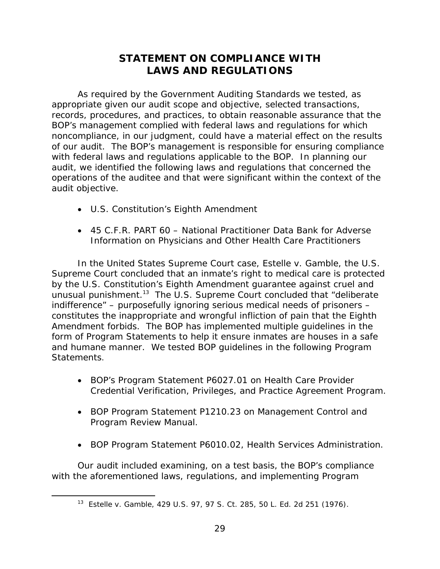# **STATEMENT ON COMPLIANCE WITH LAWS AND REGULATIONS**

<span id="page-40-0"></span>As required by the *Government Auditing Standards* we tested, as appropriate given our audit scope and objective, selected transactions, records, procedures, and practices, to obtain reasonable assurance that the BOP's management complied with federal laws and regulations for which noncompliance, in our judgment, could have a material effect on the results of our audit. The BOP's management is responsible for ensuring compliance with federal laws and regulations applicable to the BOP. In planning our audit, we identified the following laws and regulations that concerned the operations of the auditee and that were significant within the context of the audit objective.

- U.S. Constitution's Eighth Amendment
- 45 C.F.R. PART 60 National Practitioner Data Bank for Adverse Information on Physicians and Other Health Care Practitioners

In the United States Supreme Court case, *Estelle v. Gamble*, the U.S. Supreme Court concluded that an inmate's right to medical care is protected by the U.S. Constitution's Eighth Amendment guarantee against cruel and unusual punishment.13 The U.S. Supreme Court concluded that "deliberate indifference" – purposefully ignoring serious medical needs of prisoners – constitutes the inappropriate and wrongful infliction of pain that the Eighth Amendment forbids. The BOP has implemented multiple guidelines in the form of Program Statements to help it ensure inmates are houses in a safe and humane manner. We tested BOP guidelines in the following Program **Statements** 

- BOP's Program Statement P6027.01 on Health Care Provider Credential Verification, Privileges, and Practice Agreement Program.
- BOP Program Statement P1210.23 on Management Control and Program Review Manual.
- BOP Program Statement P6010.02, Health Services Administration.

Our audit included examining, on a test basis, the BOP's compliance with the aforementioned laws, regulations, and implementing Program

 $\overline{a}$ 

 <sup>13</sup> *Estelle* v. *Gamble*, 429 U.S. 97, 97 S. Ct. 285, 50 L. Ed. 2d 251 (1976).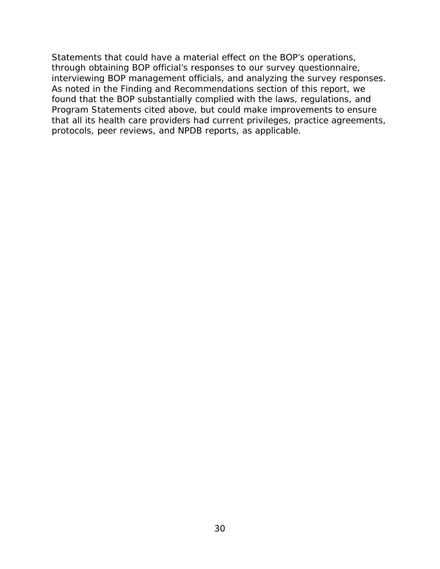Statements that could have a material effect on the BOP's operations, through obtaining BOP official's responses to our survey questionnaire, interviewing BOP management officials, and analyzing the survey responses. As noted in the Finding and Recommendations section of this report, we found that the BOP substantially complied with the laws, regulations, and Program Statements cited above, but could make improvements to ensure that all its health care providers had current privileges, practice agreements, protocols, peer reviews, and NPDB reports, as applicable.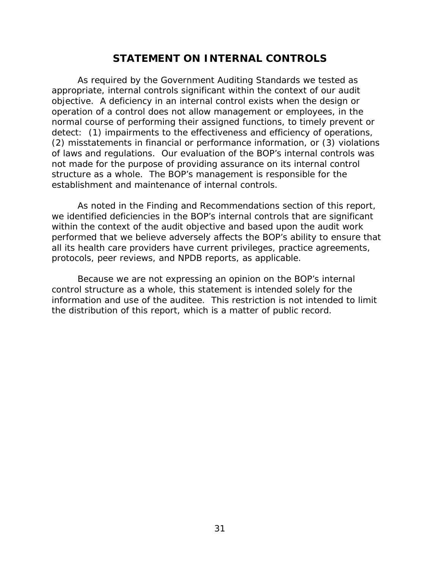# **STATEMENT ON INTERNAL CONTROLS**

<span id="page-42-0"></span>As required by the *Government Auditing Standards* we tested as appropriate, internal controls significant within the context of our audit objective. A deficiency in an internal control exists when the design or operation of a control does not allow management or employees, in the normal course of performing their assigned functions, to timely prevent or detect: (1) impairments to the effectiveness and efficiency of operations, (2) misstatements in financial or performance information, or (3) violations of laws and regulations. Our evaluation of the BOP's internal controls was *not* made for the purpose of providing assurance on its internal control structure as a whole. The BOP's management is responsible for the establishment and maintenance of internal controls.

As noted in the Finding and Recommendations section of this report, we identified deficiencies in the BOP's internal controls that are significant within the context of the audit objective and based upon the audit work performed that we believe adversely affects the BOP's ability to ensure that all its health care providers have current privileges, practice agreements, protocols, peer reviews, and NPDB reports, as applicable.

Because we are not expressing an opinion on the BOP's internal control structure as a whole, this statement is intended solely for the information and use of the auditee. This restriction is not intended to limit the distribution of this report, which is a matter of public record.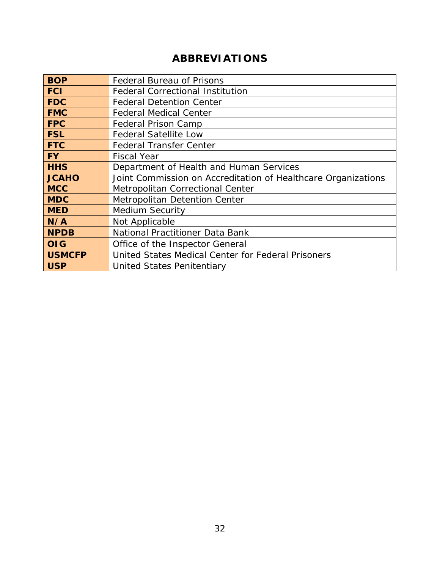# **ABBREVIATIONS**

| <b>BOP</b>    | <b>Federal Bureau of Prisons</b>                              |
|---------------|---------------------------------------------------------------|
| <b>FCI</b>    | <b>Federal Correctional Institution</b>                       |
| <b>FDC</b>    | <b>Federal Detention Center</b>                               |
| <b>FMC</b>    | <b>Federal Medical Center</b>                                 |
| <b>FPC</b>    | Federal Prison Camp                                           |
| <b>FSL</b>    | <b>Federal Satellite Low</b>                                  |
| <b>FTC</b>    | <b>Federal Transfer Center</b>                                |
| <b>FY</b>     | <b>Fiscal Year</b>                                            |
| <b>HHS</b>    | Department of Health and Human Services                       |
| <b>JCAHO</b>  | Joint Commission on Accreditation of Healthcare Organizations |
| <b>MCC</b>    | Metropolitan Correctional Center                              |
| <b>MDC</b>    | <b>Metropolitan Detention Center</b>                          |
| <b>MED</b>    | <b>Medium Security</b>                                        |
| N/A           | Not Applicable                                                |
| <b>NPDB</b>   | National Practitioner Data Bank                               |
| <b>OIG</b>    | Office of the Inspector General                               |
| <b>USMCFP</b> | United States Medical Center for Federal Prisoners            |
| <b>USP</b>    | United States Penitentiary                                    |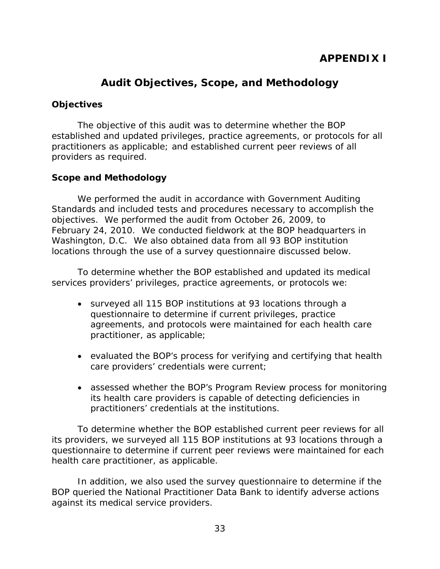# **Audit Objectives, Scope, and Methodology**

# <span id="page-44-0"></span>**Objectives**

The objective of this audit was to determine whether the BOP established and updated privileges, practice agreements, or protocols for all practitioners as applicable; and established current peer reviews of all providers as required.

# **Scope and Methodology**

We performed the audit in accordance with *Government Auditing Standards* and included tests and procedures necessary to accomplish the objectives. We performed the audit from October 26, 2009, to February 24, 2010. We conducted fieldwork at the BOP headquarters in Washington, D.C. We also obtained data from all 93 BOP institution locations through the use of a survey questionnaire discussed below.

To determine whether the BOP established and updated its medical services providers' privileges, practice agreements, or protocols we:

- surveyed all 115 BOP institutions at 93 locations through a questionnaire to determine if current privileges, practice agreements, and protocols were maintained for each health care practitioner, as applicable;
- evaluated the BOP's process for verifying and certifying that health care providers' credentials were current;
- assessed whether the BOP's Program Review process for monitoring its health care providers is capable of detecting deficiencies in practitioners' credentials at the institutions.

To determine whether the BOP established current peer reviews for all its providers, we surveyed all 115 BOP institutions at 93 locations through a questionnaire to determine if current peer reviews were maintained for each health care practitioner, as applicable.

In addition, we also used the survey questionnaire to determine if the BOP queried the National Practitioner Data Bank to identify adverse actions against its medical service providers.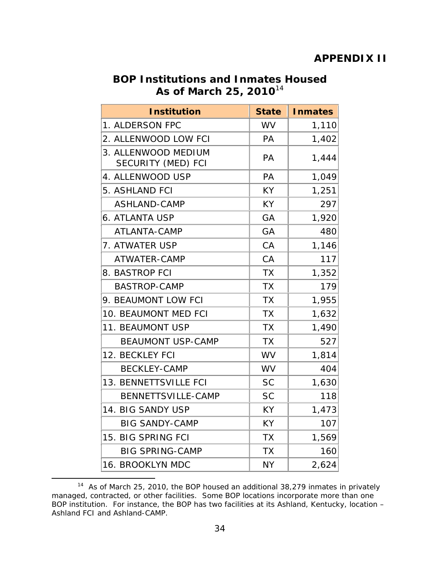# **APPENDIX II**

# **BOP Institutions and Inmates Housed As of March 25, 2010**<sup>14</sup>

| <b>Institution</b>                        | <b>State</b> | <b>Inmates</b> |
|-------------------------------------------|--------------|----------------|
| 1. ALDERSON FPC                           | <b>WV</b>    | 1,110          |
| 2. ALLENWOOD LOW FCI                      | PA           | 1,402          |
| 3. ALLENWOOD MEDIUM<br>SECURITY (MED) FCI | PA           | 1,444          |
| 4. ALLENWOOD USP                          | PA           | 1,049          |
| 5. ASHLAND FCI                            | KY.          | 1,251          |
| <b>ASHLAND-CAMP</b>                       | <b>KY</b>    | 297            |
| 6. ATLANTA USP                            | GA           | 1,920          |
| ATLANTA-CAMP                              | GA           | 480            |
| 7. ATWATER USP                            | CA           | 1,146          |
| ATWATER-CAMP                              | CA           | 117            |
| 8. BASTROP FCI                            | <b>TX</b>    | 1,352          |
| <b>BASTROP-CAMP</b>                       | <b>TX</b>    | 179            |
| 9. BEAUMONT LOW FCI                       | <b>TX</b>    | 1,955          |
| 10. BEAUMONT MED FCI                      | <b>TX</b>    | 1,632          |
| 11. BEAUMONT USP                          | <b>TX</b>    | 1,490          |
| <b>BEAUMONT USP-CAMP</b>                  | <b>TX</b>    | 527            |
| 12. BECKLEY FCI                           | <b>WV</b>    | 1,814          |
| BECKLEY-CAMP                              | <b>WV</b>    | 404            |
| 13. BENNETTSVILLE FCI                     | <b>SC</b>    | 1,630          |
| BENNETTSVILLE-CAMP                        | <b>SC</b>    | 118            |
| 14. BIG SANDY USP                         | <b>KY</b>    | 1,473          |
| <b>BIG SANDY-CAMP</b>                     | <b>KY</b>    | 107            |
| 15. BIG SPRING FCI                        | <b>TX</b>    | 1,569          |
| <b>BIG SPRING-CAMP</b>                    | <b>TX</b>    | 160            |
| 16. BROOKLYN MDC                          | <b>NY</b>    | 2,624          |

 $\overline{a}$ <sup>14</sup> As of March 25, 2010, the BOP housed an additional 38,279 inmates in privately managed, contracted, or other facilities. Some BOP locations incorporate more than one BOP institution. For instance, the BOP has two facilities at its Ashland, Kentucky, location – Ashland FCI and Ashland-CAMP.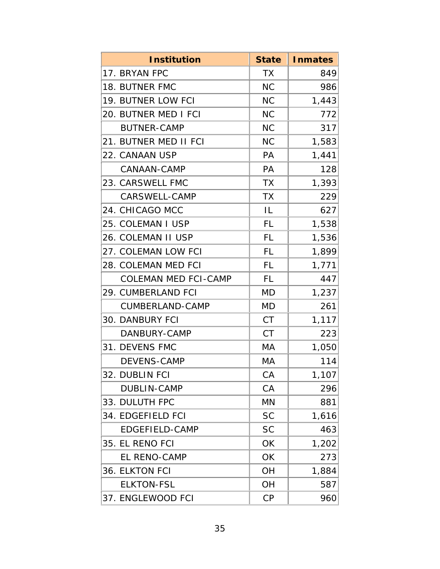| <b>Institution</b>          | <b>State</b> | <b>Inmates</b> |
|-----------------------------|--------------|----------------|
| 17. BRYAN FPC               | <b>TX</b>    | 849            |
| 18. BUTNER FMC              | <b>NC</b>    | 986            |
| 19. BUTNER LOW FCI          | <b>NC</b>    | 1,443          |
| 20. BUTNER MED I FCI        | <b>NC</b>    | 772            |
| <b>BUTNER-CAMP</b>          | <b>NC</b>    | 317            |
| 21. BUTNER MED II FCI       | <b>NC</b>    | 1,583          |
| 22. CANAAN USP              | PA           | 1,441          |
| CANAAN-CAMP                 | PA           | 128            |
| 23. CARSWELL FMC            | <b>TX</b>    | 1,393          |
| <b>CARSWELL-CAMP</b>        | <b>TX</b>    | 229            |
| 24. CHICAGO MCC             | IL           | 627            |
| 25. COLEMAN I USP           | <b>FL</b>    | 1,538          |
| 26. COLEMAN II USP          | FL           | 1,536          |
| 27. COLEMAN LOW FCI         | <b>FL</b>    | 1,899          |
| 28. COLEMAN MED FCI         | <b>FL</b>    | 1,771          |
| <b>COLEMAN MED FCI-CAMP</b> | <b>FL</b>    | 447            |
| 29. CUMBERLAND FCI          | <b>MD</b>    | 1,237          |
| CUMBERLAND-CAMP             | MD           | 261            |
| 30. DANBURY FCI             | CT           | 1,117          |
| DANBURY-CAMP                | <b>CT</b>    | 223            |
| 31. DEVENS FMC              | МA           | 1,050          |
| <b>DEVENS-CAMP</b>          | МA           | 114            |
| 32. DUBLIN FCI              | CA           | 1,107          |
| <b>DUBLIN-CAMP</b>          | CA           | 296            |
| 33. DULUTH FPC              | <b>MN</b>    | 881            |
| 34. EDGEFIELD FCI           | <b>SC</b>    | 1,616          |
| EDGEFIELD-CAMP              | <b>SC</b>    | 463            |
| 35. EL RENO FCI             | OK           | 1,202          |
| EL RENO-CAMP                | OK           | 273            |
| 36. ELKTON FCI              | OH           | 1,884          |
| <b>ELKTON-FSL</b>           | <b>OH</b>    | 587            |
| 37. ENGLEWOOD FCI           | CP           | 960            |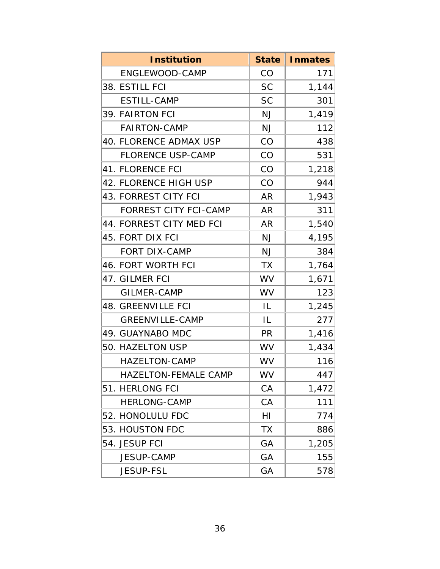| <b>Institution</b>            | State     | <b>Inmates</b> |
|-------------------------------|-----------|----------------|
| ENGLEWOOD-CAMP                | CO        | 171            |
| 38. ESTILL FCI                | <b>SC</b> | 1,144          |
| ESTILL-CAMP                   | <b>SC</b> | 301            |
| 39. FAIRTON FCI               | <b>NJ</b> | 1,419          |
| <b>FAIRTON-CAMP</b>           | <b>NJ</b> | 112            |
| <b>40. FLORENCE ADMAX USP</b> | CO        | 438            |
| <b>FLORENCE USP-CAMP</b>      | CO        | 531            |
| <b>41. FLORENCE FCI</b>       | CO        | 1,218          |
| 42. FLORENCE HIGH USP         | CO        | 944            |
| 43. FORREST CITY FCI          | <b>AR</b> | 1,943          |
| <b>FORREST CITY FCI-CAMP</b>  | <b>AR</b> | 311            |
| 44. FORREST CITY MED FCI      | <b>AR</b> | 1,540          |
| 45. FORT DIX FCI              | <b>NJ</b> | 4,195          |
| <b>FORT DIX-CAMP</b>          | <b>NJ</b> | 384            |
| <b>46. FORT WORTH FCI</b>     | <b>TX</b> | 1,764          |
| 47. GILMER FCI                | WV        | 1,671          |
| GILMER-CAMP                   | <b>WV</b> | 123            |
| <b>48. GREENVILLE FCI</b>     | IL        | 1,245          |
| <b>GREENVILLE-CAMP</b>        | IL        | 277            |
| 49. GUAYNABO MDC              | <b>PR</b> | 1,416          |
| 50. HAZELTON USP              | WV        | 1,434          |
| <b>HAZELTON-CAMP</b>          | <b>WV</b> | 116            |
| HAZELTON-FEMALE CAMP          | <b>WV</b> | 447            |
| 51. HERLONG FCI               | CA        | 1,472          |
| <b>HERLONG-CAMP</b>           | CA        | 111            |
| 52. HONOLULU FDC              | ΗI        | 774            |
| 53. HOUSTON FDC               | <b>TX</b> | 886            |
| 54. JESUP FCI                 | GA        | 1,205          |
| <b>JESUP-CAMP</b>             | GA        | 155            |
| <b>JESUP-FSL</b>              | GA        | 578            |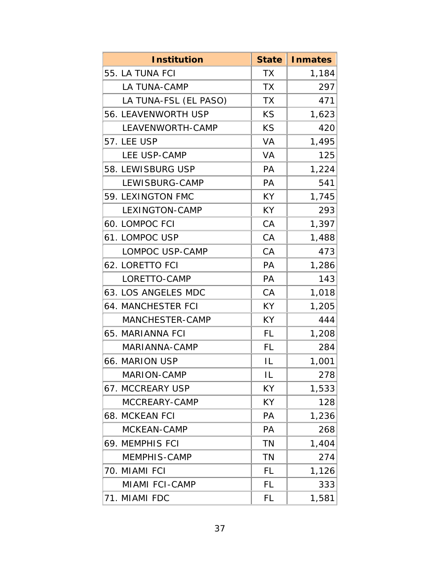| <b>Institution</b>        | State     | <b>Inmates</b> |
|---------------------------|-----------|----------------|
| 55. LA TUNA FCI           | <b>TX</b> | 1,184          |
| <b>LA TUNA-CAMP</b>       | <b>TX</b> | 297            |
| LA TUNA-FSL (EL PASO)     | <b>TX</b> | 471            |
| 56. LEAVENWORTH USP       | <b>KS</b> | 1,623          |
| LEAVENWORTH-CAMP          | <b>KS</b> | 420            |
| 57. LEE USP               | VA        | 1,495          |
| <b>LEE USP-CAMP</b>       | VA        | 125            |
| 58. LEWISBURG USP         | <b>PA</b> | 1,224          |
| LEWISBURG-CAMP            | PA        | 541            |
| 59. LEXINGTON FMC         | KY        | 1,745          |
| <b>LEXINGTON-CAMP</b>     | KY        | 293            |
| 60. LOMPOC FCI            | CA        | 1,397          |
| 61. LOMPOC USP            | CA        | 1,488          |
| LOMPOC USP-CAMP           | CA        | 473            |
| 62. LORETTO FCI           | PA        | 1,286          |
| LORETTO-CAMP              | PA        | 143            |
| 63. LOS ANGELES MDC       | CA        | 1,018          |
| <b>64. MANCHESTER FCI</b> | KY        | 1,205          |
| MANCHESTER-CAMP           | KY        | 444            |
| 65. MARIANNA FCI          | FL        | 1,208          |
| MARIANNA-CAMP             | FL        | 284            |
| 66. MARION USP            | IL        | 1,001          |
| MARION-CAMP               | IL        | 278            |
| 67. MCCREARY USP          | KY        | 1,533          |
| MCCREARY-CAMP             | KY        | 128            |
| <b>68. MCKEAN FCI</b>     | <b>PA</b> | 1,236          |
| MCKEAN-CAMP               | <b>PA</b> | 268            |
| 69. MEMPHIS FCI           | <b>TN</b> | 1,404          |
| MEMPHIS-CAMP              | TN        | 274            |
| 70. MIAMI FCI             | FL        | 1,126          |
| MIAMI FCI-CAMP            | FL        | 333            |
| 71. MIAMI FDC             | FL        | 1,581          |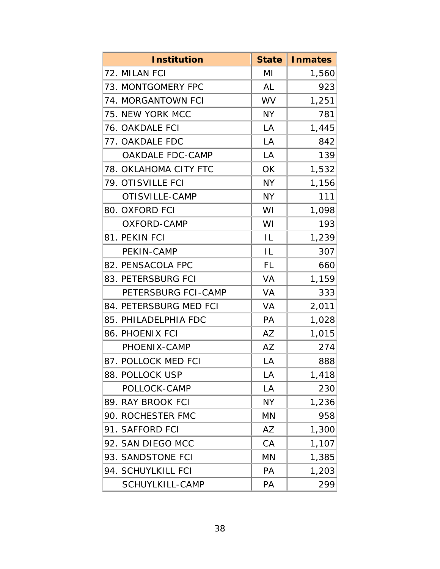| <b>Institution</b>           | State     | <b>Inmates</b> |
|------------------------------|-----------|----------------|
| 72. MILAN FCI                | ΜI        | 1,560          |
| 73. MONTGOMERY FPC           | <b>AL</b> | 923            |
| 74. MORGANTOWN FCI           | <b>WV</b> | 1,251          |
| 75. NEW YORK MCC             | <b>NY</b> | 781            |
| 76. OAKDALE FCI              | LA        | 1,445          |
| 77. OAKDALE FDC              | LA        | 842            |
| OAKDALE FDC-CAMP             | LA        | 139            |
| <b>78. OKLAHOMA CITY FTC</b> | OK        | 1,532          |
| <b>79. OTISVILLE FCI</b>     | <b>NY</b> | 1,156          |
| OTISVILLE-CAMP               | <b>NY</b> | 111            |
| 80. OXFORD FCI               | WI        | 1,098          |
| <b>OXFORD-CAMP</b>           | WI        | 193            |
| 81. PEKIN FCI                | IL        | 1,239          |
| PEKIN-CAMP                   | IL        | 307            |
| 82. PENSACOLA FPC            | <b>FL</b> | 660            |
| 83. PETERSBURG FCI           | VA        | 1,159          |
| PETERSBURG FCI-CAMP          | VA        | 333            |
| 84. PETERSBURG MED FCI       | VA        | 2,011          |
| 85. PHILADELPHIA FDC         | PA        | 1,028          |
| 86. PHOENIX FCI              | AZ        | 1,015          |
| PHOENIX-CAMP                 | AZ        | 274            |
| 87. POLLOCK MED FCI          | LA        | 888            |
| 88. POLLOCK USP              | LA        | 1,418          |
| POLLOCK-CAMP                 | LA        | 230            |
| 89. RAY BROOK FCI            | <b>NY</b> | 1,236          |
| 90. ROCHESTER FMC            | MN        | 958            |
| 91. SAFFORD FCI              | AZ        | 1,300          |
| 92. SAN DIEGO MCC            | CA        | 1,107          |
| 93. SANDSTONE FCI            | MN        | 1,385          |
| 94. SCHUYLKILL FCI           | PA        | 1,203          |
| SCHUYLKILL-CAMP              | PA        | 299            |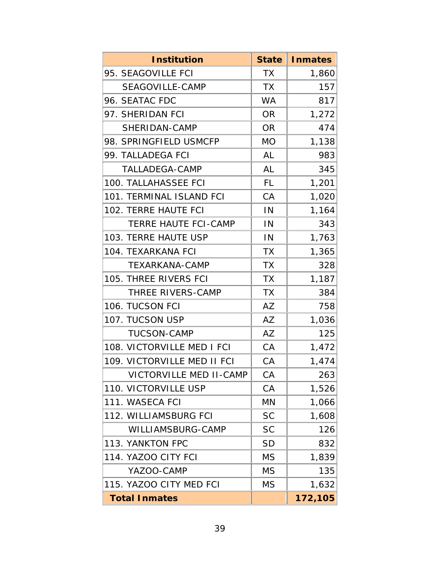| <b>Institution</b>             | <b>State</b> | <b>Inmates</b> |  |
|--------------------------------|--------------|----------------|--|
| 95. SEAGOVILLE FCI             | TX           | 1,860          |  |
| SEAGOVILLE-CAMP                | <b>TX</b>    | 157            |  |
| 96. SEATAC FDC                 | <b>WA</b>    | 817            |  |
| 97. SHERIDAN FCI               | <b>OR</b>    | 1,272          |  |
| SHERIDAN-CAMP                  | <b>OR</b>    | 474            |  |
| 98. SPRINGFIELD USMCFP         | <b>MO</b>    | 1,138          |  |
| 99. TALLADEGA FCI              | <b>AL</b>    | 983            |  |
| TALLADEGA-CAMP                 | <b>AL</b>    | 345            |  |
| 100. TALLAHASSEE FCI           | FL           | 1,201          |  |
| 101. TERMINAL ISLAND FCI       | CA           | 1,020          |  |
| 102. TERRE HAUTE FCI           | IN           | 1,164          |  |
| <b>TERRE HAUTE FCI-CAMP</b>    | IN           | 343            |  |
| 103. TERRE HAUTE USP           | IN           | 1,763          |  |
| 104. TEXARKANA FCI             | <b>TX</b>    | 1,365          |  |
| <b>TEXARKANA-CAMP</b>          | <b>TX</b>    | 328            |  |
| 105. THREE RIVERS FCI          | <b>TX</b>    | 1,187          |  |
| THREE RIVERS-CAMP              | <b>TX</b>    | 384            |  |
| 106. TUCSON FCI                | AZ           | 758            |  |
| 107. TUCSON USP                | AZ           | 1,036          |  |
| <b>TUCSON-CAMP</b>             | AZ           | 125            |  |
| 108. VICTORVILLE MED I FCI     | CA           | 1,472          |  |
| 109. VICTORVILLE MED II FCI    | CA           | 1,474          |  |
| <b>VICTORVILLE MED II-CAMP</b> | CA           | 263            |  |
| 110. VICTORVILLE USP           | CA           | 1,526          |  |
| 111. WASECA FCI                | <b>MN</b>    | 1,066          |  |
| 112. WILLIAMSBURG FCI          | <b>SC</b>    | 1,608          |  |
| WILLIAMSBURG-CAMP              | <b>SC</b>    | 126            |  |
| 113. YANKTON FPC               | <b>SD</b>    | 832            |  |
| 114. YAZOO CITY FCI            | <b>MS</b>    | 1,839          |  |
| YAZOO-CAMP                     | <b>MS</b>    | 135            |  |
| 115. YAZOO CITY MED FCI        | <b>MS</b>    | 1,632          |  |
| <b>Total Inmates</b>           |              | 172,105        |  |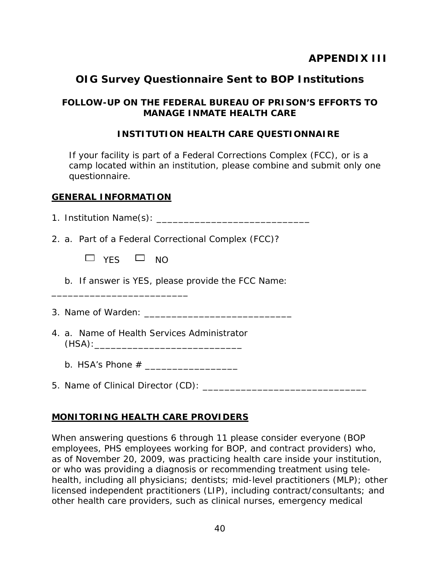# **APPENDIX III**

# <span id="page-51-0"></span>**OIG Survey Questionnaire Sent to BOP Institutions**

# **FOLLOW-UP ON THE FEDERAL BUREAU OF PRISON'S EFFORTS TO MANAGE INMATE HEALTH CARE**

### **INSTITUTION HEALTH CARE QUESTIONNAIRE**

*If your facility is part of a Federal Corrections Complex (FCC), or is a camp located within an institution, please combine and submit only one questionnaire.* 

### **GENERAL INFORMATION**

|  | 1. Institution Name(s): |  |  |
|--|-------------------------|--|--|
|--|-------------------------|--|--|

2. a. Part of a Federal Correctional Complex (FCC)?

 $\Box$  YES  $\Box$  NO

\_\_\_\_\_\_\_\_\_\_\_\_\_\_\_\_\_\_\_\_\_\_\_\_\_

b. If answer is YES, please provide the FCC Name:

- 3. Name of Warden:
- 4. a. Name of Health Services Administrator (HSA):\_\_\_\_\_\_\_\_\_\_\_\_\_\_\_\_\_\_\_\_\_\_\_\_\_\_\_
	- b. HSA's Phone # \_\_\_\_\_\_\_\_\_\_\_\_\_\_\_\_\_
- 5. Name of Clinical Director (CD): \_\_\_\_\_\_\_\_\_\_\_\_\_\_\_\_\_\_\_\_\_\_\_\_\_\_\_\_\_\_

# **MONITORING HEALTH CARE PROVIDERS**

When answering questions 6 through 11 please consider everyone (BOP employees, PHS employees working for BOP, and contract providers) who, as of November 20, 2009, was practicing health care inside your institution, or who was providing a diagnosis or recommending treatment using telehealth, including all physicians; dentists; mid-level practitioners (MLP); other licensed independent practitioners (LIP), including contract/consultants; and other health care providers, such as clinical nurses, emergency medical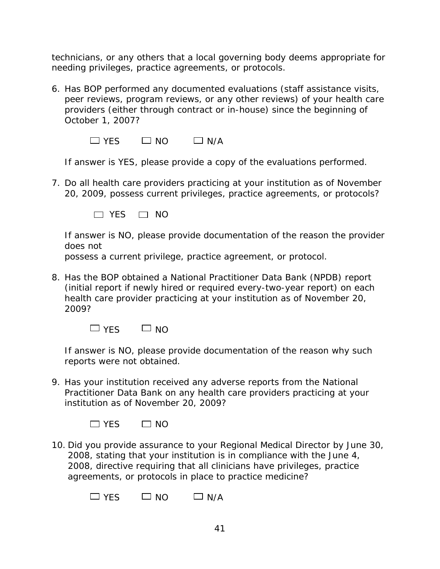technicians, or any others that a local governing body deems appropriate for needing privileges, practice agreements, or protocols.

6. Has BOP performed any documented evaluations (staff assistance visits, peer reviews, program reviews, or any other reviews) of your health care providers (either through contract or in-house) since the beginning of October 1, 2007?

 $\Box$  YFS  $\Box$  NO  $\Box$  N/A

If answer is YES, please provide a copy of the evaluations performed.

7. Do all health care providers practicing at your institution as of November 20, 2009, possess current privileges, practice agreements, or protocols?

 $YES$   $\Box$  NO

If answer is NO, please provide documentation of the reason the provider does not

possess a current privilege, practice agreement, or protocol.

8. Has the BOP obtained a National Practitioner Data Bank (NPDB) report (initial report if newly hired or required every-two-year report) on each health care provider practicing at your institution as of November 20, 2009?

 $\Box$  YFS  $\Box$  NO

If answer is NO, please provide documentation of the reason why such reports were not obtained.

9. Has your institution received any adverse reports from the National Practitioner Data Bank on any health care providers practicing at your institution as of November 20, 2009?

 $\Box$  YES  $\Box$  NO

10. Did you provide assurance to your Regional Medical Director by June 30, 2008, stating that your institution is in compliance with the June 4, 2008, directive requiring that all clinicians have privileges, practice agreements, or protocols in place to practice medicine?

 $\Box$  YFS  $\Box$  NO  $\Box$  N/A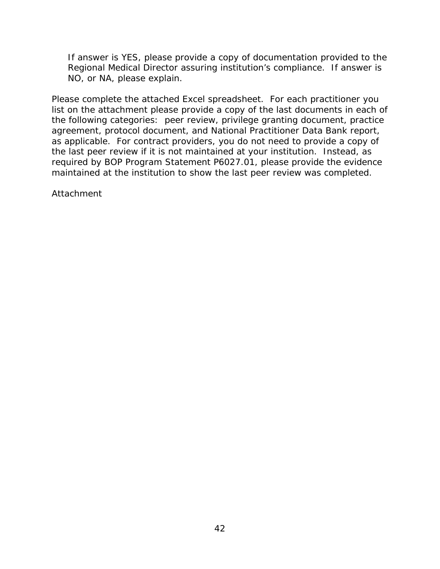If answer is YES, please provide a copy of documentation provided to the Regional Medical Director assuring institution's compliance. If answer is NO, or NA, please explain.

Please complete the attached Excel spreadsheet. For each practitioner you list on the attachment please provide a copy of the last documents in each of the following categories: peer review, privilege granting document, practice agreement, protocol document, and National Practitioner Data Bank report, as applicable. For contract providers, you do not need to provide a copy of the last peer review if it is not maintained at your institution. Instead, as required by BOP Program Statement P6027.01, please provide the evidence maintained at the institution to show the last peer review was completed.

Attachment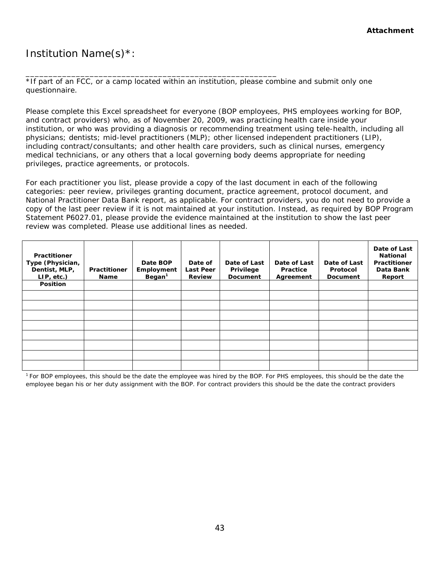# Institution Name(s)\*:

*\*If part of an FCC, or a camp located within an institution, please combine and submit only one questionnaire.* 

*\_\_\_\_\_\_\_\_\_\_\_\_\_\_\_\_\_\_\_\_\_\_\_\_\_\_\_\_\_\_\_\_\_\_\_\_\_\_\_\_\_\_\_\_\_\_\_\_\_\_\_\_\_\_\_*

Please complete this Excel spreadsheet for everyone (BOP employees, PHS employees working for BOP, and contract providers) who, as of November 20, 2009, was practicing health care inside your institution, or who was providing a diagnosis or recommending treatment using tele-health, including all physicians; dentists; mid-level practitioners (MLP); other licensed independent practitioners (LIP), including contract/consultants; and other health care providers, such as clinical nurses, emergency medical technicians, or any others that a local governing body deems appropriate for needing privileges, practice agreements, or protocols.

For each practitioner you list, please provide a copy of the last document in each of the following categories: peer review, privileges granting document, practice agreement, protocol document, and National Practitioner Data Bank report, as applicable. For contract providers, you do not need to provide a copy of the last peer review if it is not maintained at your institution. Instead, as required by BOP Program Statement P6027.01, please provide the evidence maintained at the institution to show the last peer review was completed. Please use additional lines as needed.

| Practitioner<br>Type (Physician,<br>Dentist, MLP,<br>$LIP$ , etc.) | Practitioner<br><b>Name</b> | Date BOP<br>Employment<br>Began <sup>1</sup> | Date of<br><b>Last Peer</b><br><b>Review</b> | Date of Last<br>Privilege<br><b>Document</b> | Date of Last<br>Practice<br>Agreement | Date of Last<br>Protocol<br><b>Document</b> | Date of Last<br><b>National</b><br>Practitioner<br>Data Bank<br>Report |
|--------------------------------------------------------------------|-----------------------------|----------------------------------------------|----------------------------------------------|----------------------------------------------|---------------------------------------|---------------------------------------------|------------------------------------------------------------------------|
| <b>Position</b>                                                    |                             |                                              |                                              |                                              |                                       |                                             |                                                                        |
|                                                                    |                             |                                              |                                              |                                              |                                       |                                             |                                                                        |
|                                                                    |                             |                                              |                                              |                                              |                                       |                                             |                                                                        |
|                                                                    |                             |                                              |                                              |                                              |                                       |                                             |                                                                        |
|                                                                    |                             |                                              |                                              |                                              |                                       |                                             |                                                                        |
|                                                                    |                             |                                              |                                              |                                              |                                       |                                             |                                                                        |
|                                                                    |                             |                                              |                                              |                                              |                                       |                                             |                                                                        |
|                                                                    |                             |                                              |                                              |                                              |                                       |                                             |                                                                        |
|                                                                    |                             |                                              |                                              |                                              |                                       |                                             |                                                                        |

<sup>1</sup> For BOP employees, this should be the date the employee was hired by the BOP. For PHS employees, this should be the date the employee began his or her duty assignment with the BOP. For contract providers this should be the date the contract providers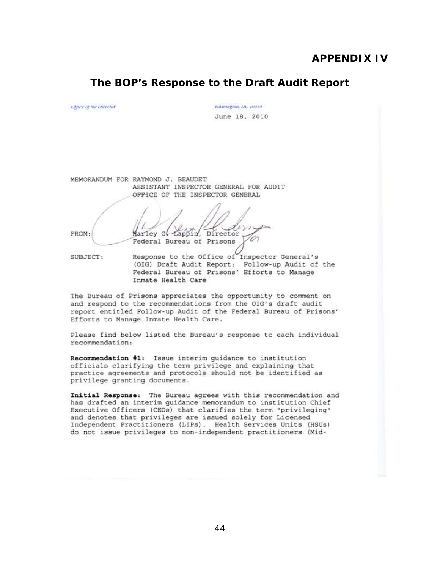# **APPENDIX IV**

# **The BOP's Response to the Draft Audit Report**

Office of the Director Contact Contact Contact Contact Contact Contact Contact Contact Contact Contact Contact Contact Contact Contact Contact Contact Contact Contact Contact Contact Contact Contact Contact Contact Contact

June 18, 2010

MEMORANDUM FOR RAYMOND J. BEAUDET ASSISTANT INSPECTOR GENERAL FOR AUDIT OFFICE OF THE INSPECTOR GENERAL

FROM:

Marley G. Lappin, Director Federal Bureau of Prisons

3IT~;':~ol;r

SUBJECT:

Response to the Office of Inspector General's (OIG) Draft Audit Report: Follow-up Audit of the<br>Federal Bureau of Prisons' Efforts to Manage Federal Bureau of Prisons' Efforts to Manage Inmate Health Care

The Bureau of Prisons appreciates the opportunity to comment on and respond to the recommendations from the OIG's draft audit report entitled Follow-up Audit of the Federal Bureau of Prisons' Efforts to Manage Inmate Health Care.

Please find below listed the Bureau's response to each individual recommendation:

Recommendation #1: Issue interim guidance to institution officials clarifying the term privilege and explaining that practice agreements and protocols should not be identified as privilege granting documents.

Initial Response: The Bureau agrees with this recommendation and has drafted an interim guidance memorandum to institution Chief Executive Officers (CEOs) that clarifies the term "privileging" and denotes that privileges are issued solely for Licensed Independent Practitioners (LIPs). Health Services Units (HSUs) do not issue privileges to non-independent practitioners (Mid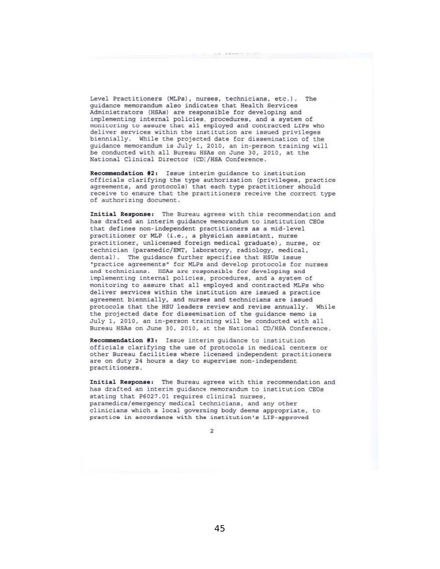Level Practitioners (MLPs), nurses, technicians, etc.). The guidance memorandum also indicates that Health Services Administrators (HSAs) are responsible for developing and implementing internal policies, procedures, and a system of monitoring to assure that all employed and contracted LIPs who deliver services within the institution are issued privileges biennially. While the projected date for dissemination of the guidance memorandum is July 1, 2010, an in-person training will be conducted with all Bureau HSAs on June 30, 2010, at the National Clinical Director (CD)/HSA Conference.

Recommendation #2: Issue interim guidance to institution<br>officials clarifying the type authorization (privileges, practice agreements, and protocols) that each type practitioner should receive to ensure that the practitioners receive the correct type of authorizing document.

Initial Response: The Bureau agrees with this recommendation and has drafted an interim guidance memorandum to institution CEOs that defines non-independent practitioners as a mid-level practitioner or MLP (i.e., a physician assistant, nurse practitioner, unlicensed foreign medical graduate), nurse, or technician (paramedic/EMT, laboratory, radiology, medical, dental). The guidance further specifies that HSUs issue "practice agreements" for MLPs and develop protocols for nurses and technicians. HSAs are responsible for developing and implementing internal policies, procedures, and a system of monitoring to assure that all employed and contracted MLPs who deliver services within the institution are issued a practice agreement biennially, and nurses and technicians are issued protocols that the HSU leaders review and revise annually. While the projected date for dissemination of the guidance memo is July 1, 2010, an in-person training will be conducted with all Bureau HSAs on June 30, 2010, at the National CD/HSA Conference.

Recommendation #3: Issue interim guidance to institution officials clarifying the use of protocols in medical centers or other Bureau facilities where licensed independent practitioners are on duty 24 hours a day to supervise non-independent practitioner..

Initial Response: The Bureau agrees with this recommendation and has drafted an interim quidance memorandum to institution CEOs stating that P6027.01 requires clinical nurses, paramedics/emergency medical technicians, and any other clinicians which a local governing body deems appropriate, to practice in accordance with the ine ng body deems appropriate,<br>institution's LIP-approved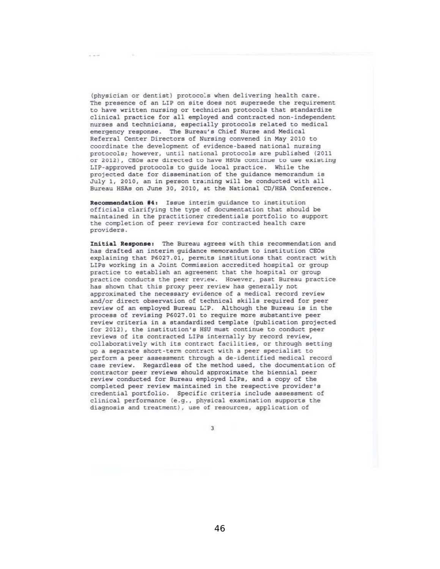(physician or dentist) protocols when delivering health care. The presence of an LIP on site does not supersede the requirement to have written nursing or technician protocols that standardize clinical practice for all employed and contracted non-independent nurses and technicians, especially protocols related to medical emergency response. The Bureau's Chief Nurse and Medical Referral Center Directors of Nursing convened in May 2010 to coordinate the development of evidence-based national nursing protocols; however, until national protocols are published (2011 or 2012), CEOs are directed to have HSUs continue to use existing LIP-approved protocols to guide local practice. While the projected date for dissemination of the guidance memorandum is July 1, 2010, an in person training will be conducted with all Bureau HSAs on June 30, 2010, at the National CD/HSA Conference.

Recommendation #4: Issue interim guidance to institution officials clarifying the type of documentation that should be maintained in the practitioner credentials portfolio to support the completion of peer reviews for contracted health care providers.

Initial Response: The Bureau agrees with this recommendation and has drafted an interim guidance memorandum to institution CEOs explaining that P6027.01, permits institutions that contract with LIPs working in a Joint Commission accredited hospital or group practice to establish an agreement that the hospital or group practice conducts the peer review. However, past Bureau practice has shown that this proxy peer review has generally not approximated the necessary evidence of a medical record review and/or direct observation of technical skills required for peer review of an employed Bureau LIP. Although the Bureau is in the process of revising P6027.01 to require more substantive peer review criteria in a standardized template (publication projected for 2012), the institution's HSU must continue to conduct peer reviews of its contracted LIPs internally by record review, collaboratively with its contract facilities, or through setting up a separate short-term contract with a peer specialist to perform a peer assessment through a de-identified medical record case review. Regardless of the method used, the documentation of contractor peer reviews should approximate the biennial peer review conducted for Bureau employed LIPs, and a copy of the completed peer review maintained in the respective provider's credential portfolio. Specific criteria include assessment of clinical performance (e.g., physical examination supports the diagnosis and treatment), use of resources, application of

,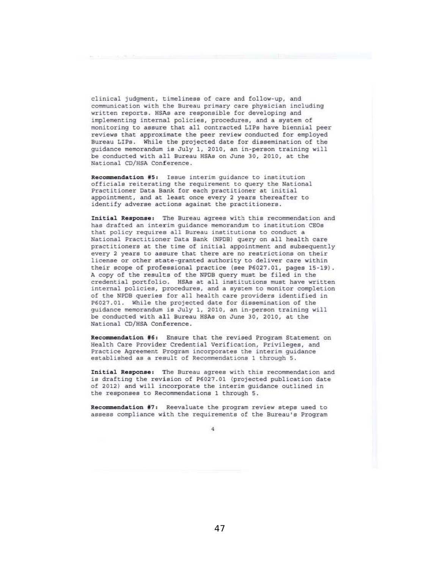clinical judgment, timeliness of care and follow-up, and communication with the Bureau primary care physician including written reports. HSAs are responsible for developing and implementing internal policies, procedures, and a system of monitoring to assure that all contracted LIPs have biennial peer reviews that approximate the peer review conducted for employed Bureau LIPs. While the projected date for dissemination of the guidance memorandum is July 1, 2010, an in-person training will be conducted with all Bureau HSAs on June 30, 2010, at the National CD/HSA Conference.

Recommendation #5: Issue interim guidance to institution officials reiterating the requirement to query the National Practitioner Data Bank for each practitioner at initial appointment, and at least once every 2 years thereafter to identify adverse actions against the practitioners.

Initial Response: The Bureau agrees with this recommendation and has drafted an interim guidance memorandum to institution CEOs that policy requires all Bureau institutions to conduct a National Practitioner Data Bank (NPDB) query on all health care practitioners at the time of initial appointment and subsequently every 2 years to assure that there are no restrictions on their license or other state-granted authority to deliver care within their scope of professional practice (see P6027.01, pages 15-19). A copy of the results of the NPDB query must be filed in the credential portfolio. HSAs at all institutions must have written internal policies, procedures, and a system to monitor completion of the NPDB queries for all health care providers identified in P6027.01. While the projected date for dissemination of the quidance memorandum is July 1, 2010, an in-person training will be conducted with all Bureau HSAs on June 30, 2010, at the<br>National CD/HSA Conference.

Recommendation #6: Ensure that the revised Program Statement on Health Care Provider Credential Verification, Privileges, and Practice Agreement Program incorporates the interim guidance established as a result of Recommendations 1 through 5.

Initial Response: The Bureau agrees with this recommendation and is drafting the revision of P6027.01 (projected publication date of 2012) and will incorporate the interim guidance outlined in the responses to Recommendations 1 through 5.

Recommendation #7: Reevaluate the program review steps used to assess compliance with the requirements of the Bureau's Program

•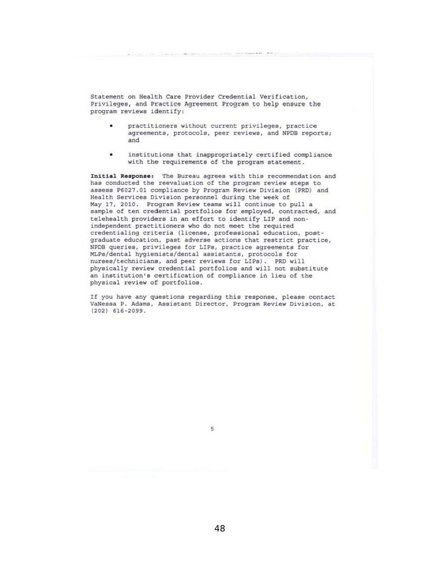Statement on Health Care Provider Credential Verification, Privileges, and Practice Agreement Program to help ensure the program reviews identify:

- $\bullet$ practitioners without current privileges, practice agreements, protocols, peer reviews, and NPDB reports;
- and<br>• institutions that inappropriately certified compliance with the requirements of the program statement.

Initial Response: The Bureau agrees with this recommendation and has conducted the reevaluation of the program review steps to assess P6027.01 compliance by Program Review Division (PRD) and Health Services Division personnel during the week of May 17, 2010. Program Review teams will continue to pull a sample of ten credential portfolios for employed, contracted, and telehealth providers in an effort to identify LIP and nonindependent practitioners who do not meet the required credentialing criteria (license, professional education, postgraduate education, past adverse actions that restrict practice, NPDB queries, privileges for LIPs, practice agreements for MLPs/dental hygienists/dental assistants, protocols for nurses/technicians, and peer reviews for LIPs). PRD will physically review credential portfolios and will not substitute an institution's certification of compliance in lieu of the physical review of portfolios.

If you have any questions regarding this response, please contact VaNessa P. Adams, Assistant Director, Program Review Division, at  $(202)$  616-2099.

,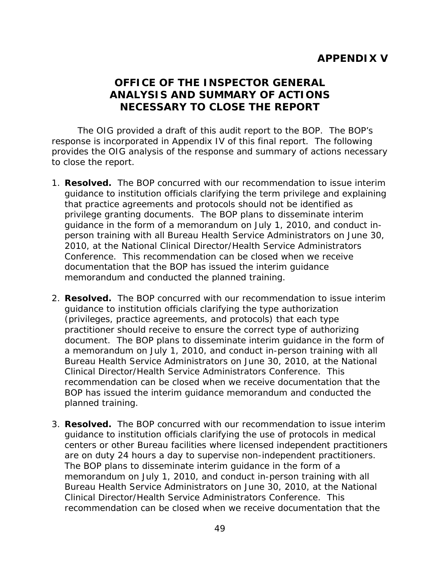# <span id="page-60-0"></span>**OFFICE OF THE INSPECTOR GENERAL ANALYSIS AND SUMMARY OF ACTIONS NECESSARY TO CLOSE THE REPORT**

The OIG provided a draft of this audit report to the BOP. The BOP's response is incorporated in Appendix IV of this final report. The following provides the OIG analysis of the response and summary of actions necessary to close the report.

- 1. **Resolved.** The BOP concurred with our recommendation to issue interim guidance to institution officials clarifying the term privilege and explaining that practice agreements and protocols should not be identified as privilege granting documents. The BOP plans to disseminate interim guidance in the form of a memorandum on July 1, 2010, and conduct inperson training with all Bureau Health Service Administrators on June 30, 2010, at the National Clinical Director/Health Service Administrators Conference. This recommendation can be closed when we receive documentation that the BOP has issued the interim guidance memorandum and conducted the planned training.
- 2. **Resolved.** The BOP concurred with our recommendation to issue interim guidance to institution officials clarifying the type authorization (privileges, practice agreements, and protocols) that each type practitioner should receive to ensure the correct type of authorizing document. The BOP plans to disseminate interim guidance in the form of a memorandum on July 1, 2010, and conduct in-person training with all Bureau Health Service Administrators on June 30, 2010, at the National Clinical Director/Health Service Administrators Conference. This recommendation can be closed when we receive documentation that the BOP has issued the interim guidance memorandum and conducted the planned training.
- 3. **Resolved.** The BOP concurred with our recommendation to issue interim guidance to institution officials clarifying the use of protocols in medical centers or other Bureau facilities where licensed independent practitioners are on duty 24 hours a day to supervise non-independent practitioners. The BOP plans to disseminate interim guidance in the form of a memorandum on July 1, 2010, and conduct in-person training with all Bureau Health Service Administrators on June 30, 2010, at the National Clinical Director/Health Service Administrators Conference. This recommendation can be closed when we receive documentation that the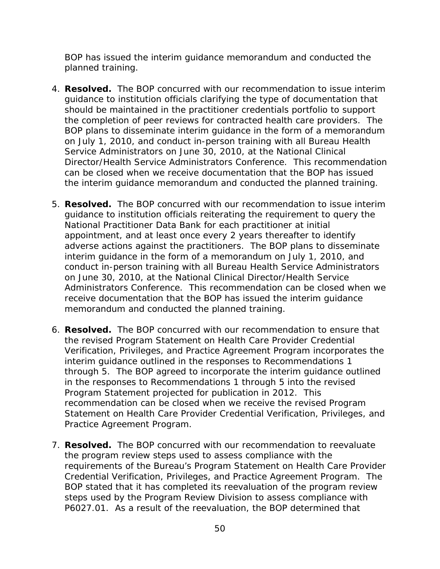BOP has issued the interim guidance memorandum and conducted the planned training.

- 4. **Resolved.** The BOP concurred with our recommendation to issue interim guidance to institution officials clarifying the type of documentation that should be maintained in the practitioner credentials portfolio to support the completion of peer reviews for contracted health care providers. The BOP plans to disseminate interim guidance in the form of a memorandum on July 1, 2010, and conduct in-person training with all Bureau Health Service Administrators on June 30, 2010, at the National Clinical Director/Health Service Administrators Conference. This recommendation can be closed when we receive documentation that the BOP has issued the interim guidance memorandum and conducted the planned training.
- 5. **Resolved.** The BOP concurred with our recommendation to issue interim guidance to institution officials reiterating the requirement to query the National Practitioner Data Bank for each practitioner at initial appointment, and at least once every 2 years thereafter to identify adverse actions against the practitioners. The BOP plans to disseminate interim guidance in the form of a memorandum on July 1, 2010, and conduct in-person training with all Bureau Health Service Administrators on June 30, 2010, at the National Clinical Director/Health Service Administrators Conference. This recommendation can be closed when we receive documentation that the BOP has issued the interim guidance memorandum and conducted the planned training.
- 6. **Resolved.** The BOP concurred with our recommendation to ensure that the revised Program Statement on Health Care Provider Credential Verification, Privileges, and Practice Agreement Program incorporates the interim guidance outlined in the responses to Recommendations 1 through 5. The BOP agreed to incorporate the interim guidance outlined in the responses to Recommendations 1 through 5 into the revised Program Statement projected for publication in 2012. This recommendation can be closed when we receive the revised Program Statement on Health Care Provider Credential Verification, Privileges, and Practice Agreement Program.
- 7. **Resolved.** The BOP concurred with our recommendation to reevaluate the program review steps used to assess compliance with the requirements of the Bureau's Program Statement on Health Care Provider Credential Verification, Privileges, and Practice Agreement Program. The BOP stated that it has completed its reevaluation of the program review steps used by the Program Review Division to assess compliance with P6027.01. As a result of the reevaluation, the BOP determined that